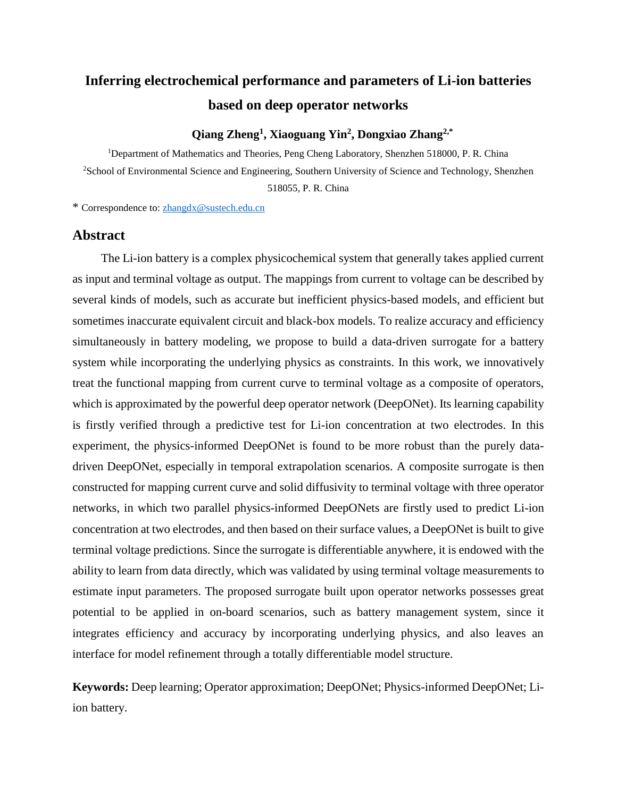# **Inferring electrochemical performance and parameters of Li-ion batteries based on deep operator networks**

## **Qiang Zheng<sup>1</sup> , Xiaoguang Yin<sup>2</sup> , Dongxiao Zhang2,\***

<sup>1</sup>Department of Mathematics and Theories, Peng Cheng Laboratory, Shenzhen 518000, P. R. China <sup>2</sup>School of Environmental Science and Engineering, Southern University of Science and Technology, Shenzhen 518055, P. R. China

\* Correspondence to: [zhangdx@sustech.edu.cn](mailto:zhangdx@sustech.edu.cn)

## **Abstract**

The Li-ion battery is a complex physicochemical system that generally takes applied current as input and terminal voltage as output. The mappings from current to voltage can be described by several kinds of models, such as accurate but inefficient physics-based models, and efficient but sometimes inaccurate equivalent circuit and black-box models. To realize accuracy and efficiency simultaneously in battery modeling, we propose to build a data-driven surrogate for a battery system while incorporating the underlying physics as constraints. In this work, we innovatively treat the functional mapping from current curve to terminal voltage as a composite of operators, which is approximated by the powerful deep operator network (DeepONet). Its learning capability is firstly verified through a predictive test for Li-ion concentration at two electrodes. In this experiment, the physics-informed DeepONet is found to be more robust than the purely datadriven DeepONet, especially in temporal extrapolation scenarios. A composite surrogate is then constructed for mapping current curve and solid diffusivity to terminal voltage with three operator networks, in which two parallel physics-informed DeepONets are firstly used to predict Li-ion concentration at two electrodes, and then based on their surface values, a DeepONet is built to give terminal voltage predictions. Since the surrogate is differentiable anywhere, it is endowed with the ability to learn from data directly, which was validated by using terminal voltage measurements to estimate input parameters. The proposed surrogate built upon operator networks possesses great potential to be applied in on-board scenarios, such as battery management system, since it integrates efficiency and accuracy by incorporating underlying physics, and also leaves an interface for model refinement through a totally differentiable model structure.

**Keywords:** Deep learning; Operator approximation; DeepONet; Physics-informed DeepONet; Liion battery.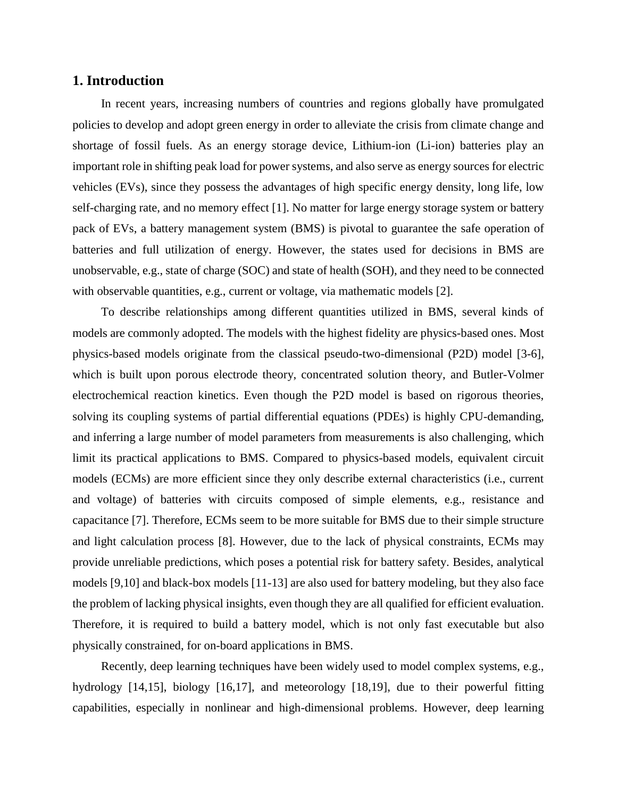## **1. Introduction**

In recent years, increasing numbers of countries and regions globally have promulgated policies to develop and adopt green energy in order to alleviate the crisis from climate change and shortage of fossil fuels. As an energy storage device, Lithium-ion (Li-ion) batteries play an important role in shifting peak load for power systems, and also serve as energy sources for electric vehicles (EVs), since they possess the advantages of high specific energy density, long life, low self-charging rate, and no memory effect [1]. No matter for large energy storage system or battery pack of EVs, a battery management system (BMS) is pivotal to guarantee the safe operation of batteries and full utilization of energy. However, the states used for decisions in BMS are unobservable, e.g., state of charge (SOC) and state of health (SOH), and they need to be connected with observable quantities, e.g., current or voltage, via mathematic models [2].

To describe relationships among different quantities utilized in BMS, several kinds of models are commonly adopted. The models with the highest fidelity are physics-based ones. Most physics-based models originate from the classical pseudo-two-dimensional (P2D) model [3-6], which is built upon porous electrode theory, concentrated solution theory, and Butler-Volmer electrochemical reaction kinetics. Even though the P2D model is based on rigorous theories, solving its coupling systems of partial differential equations (PDEs) is highly CPU-demanding, and inferring a large number of model parameters from measurements is also challenging, which limit its practical applications to BMS. Compared to physics-based models, equivalent circuit models (ECMs) are more efficient since they only describe external characteristics (i.e., current and voltage) of batteries with circuits composed of simple elements, e.g., resistance and capacitance [7]. Therefore, ECMs seem to be more suitable for BMS due to their simple structure and light calculation process [8]. However, due to the lack of physical constraints, ECMs may provide unreliable predictions, which poses a potential risk for battery safety. Besides, analytical models [9,10] and black-box models [11-13] are also used for battery modeling, but they also face the problem of lacking physical insights, even though they are all qualified for efficient evaluation. Therefore, it is required to build a battery model, which is not only fast executable but also physically constrained, for on-board applications in BMS.

Recently, deep learning techniques have been widely used to model complex systems, e.g., hydrology [14,15], biology [16,17], and meteorology [18,19], due to their powerful fitting capabilities, especially in nonlinear and high-dimensional problems. However, deep learning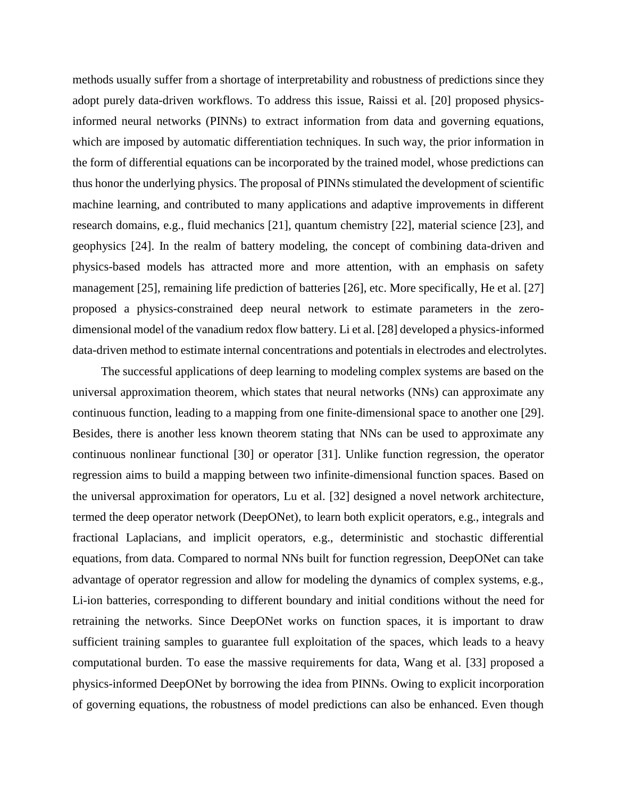methods usually suffer from a shortage of interpretability and robustness of predictions since they adopt purely data-driven workflows. To address this issue, Raissi et al. [20] proposed physicsinformed neural networks (PINNs) to extract information from data and governing equations, which are imposed by automatic differentiation techniques. In such way, the prior information in the form of differential equations can be incorporated by the trained model, whose predictions can thus honor the underlying physics. The proposal of PINNs stimulated the development of scientific machine learning, and contributed to many applications and adaptive improvements in different research domains, e.g., fluid mechanics [21], quantum chemistry [22], material science [23], and geophysics [24]. In the realm of battery modeling, the concept of combining data-driven and physics-based models has attracted more and more attention, with an emphasis on safety management [25], remaining life prediction of batteries [26], etc. More specifically, He et al. [27] proposed a physics-constrained deep neural network to estimate parameters in the zerodimensional model of the vanadium redox flow battery. Li et al. [28] developed a physics-informed data-driven method to estimate internal concentrations and potentials in electrodes and electrolytes.

The successful applications of deep learning to modeling complex systems are based on the universal approximation theorem, which states that neural networks (NNs) can approximate any continuous function, leading to a mapping from one finite-dimensional space to another one [29]. Besides, there is another less known theorem stating that NNs can be used to approximate any continuous nonlinear functional [30] or operator [31]. Unlike function regression, the operator regression aims to build a mapping between two infinite-dimensional function spaces. Based on the universal approximation for operators, Lu et al. [32] designed a novel network architecture, termed the deep operator network (DeepONet), to learn both explicit operators, e.g., integrals and fractional Laplacians, and implicit operators, e.g., deterministic and stochastic differential equations, from data. Compared to normal NNs built for function regression, DeepONet can take advantage of operator regression and allow for modeling the dynamics of complex systems, e.g., Li-ion batteries, corresponding to different boundary and initial conditions without the need for retraining the networks. Since DeepONet works on function spaces, it is important to draw sufficient training samples to guarantee full exploitation of the spaces, which leads to a heavy computational burden. To ease the massive requirements for data, Wang et al. [33] proposed a physics-informed DeepONet by borrowing the idea from PINNs. Owing to explicit incorporation of governing equations, the robustness of model predictions can also be enhanced. Even though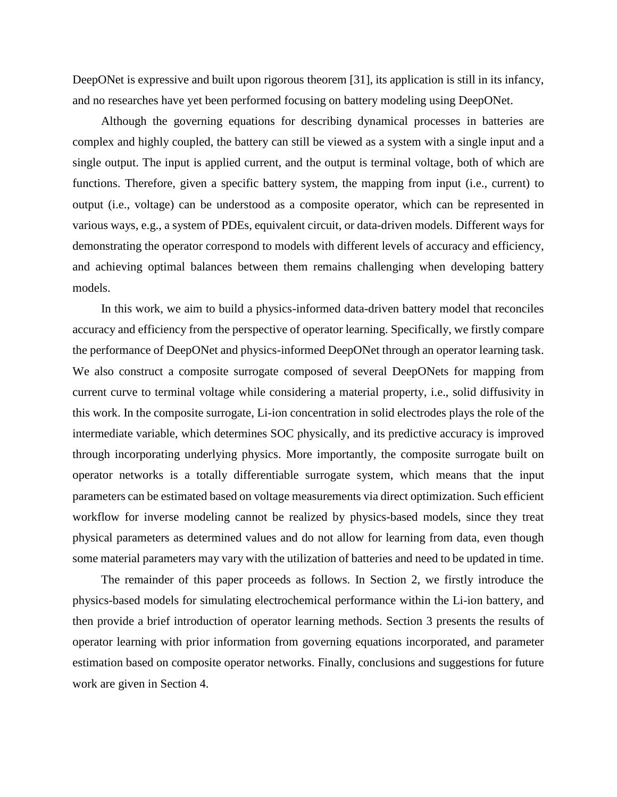DeepONet is expressive and built upon rigorous theorem [31], its application is still in its infancy, and no researches have yet been performed focusing on battery modeling using DeepONet.

Although the governing equations for describing dynamical processes in batteries are complex and highly coupled, the battery can still be viewed as a system with a single input and a single output. The input is applied current, and the output is terminal voltage, both of which are functions. Therefore, given a specific battery system, the mapping from input (i.e., current) to output (i.e., voltage) can be understood as a composite operator, which can be represented in various ways, e.g., a system of PDEs, equivalent circuit, or data-driven models. Different ways for demonstrating the operator correspond to models with different levels of accuracy and efficiency, and achieving optimal balances between them remains challenging when developing battery models.

In this work, we aim to build a physics-informed data-driven battery model that reconciles accuracy and efficiency from the perspective of operator learning. Specifically, we firstly compare the performance of DeepONet and physics-informed DeepONet through an operator learning task. We also construct a composite surrogate composed of several DeepONets for mapping from current curve to terminal voltage while considering a material property, i.e., solid diffusivity in this work. In the composite surrogate, Li-ion concentration in solid electrodes plays the role of the intermediate variable, which determines SOC physically, and its predictive accuracy is improved through incorporating underlying physics. More importantly, the composite surrogate built on operator networks is a totally differentiable surrogate system, which means that the input parameters can be estimated based on voltage measurements via direct optimization. Such efficient workflow for inverse modeling cannot be realized by physics-based models, since they treat physical parameters as determined values and do not allow for learning from data, even though some material parameters may vary with the utilization of batteries and need to be updated in time.

The remainder of this paper proceeds as follows. In Section 2, we firstly introduce the physics-based models for simulating electrochemical performance within the Li-ion battery, and then provide a brief introduction of operator learning methods. Section 3 presents the results of operator learning with prior information from governing equations incorporated, and parameter estimation based on composite operator networks. Finally, conclusions and suggestions for future work are given in Section 4.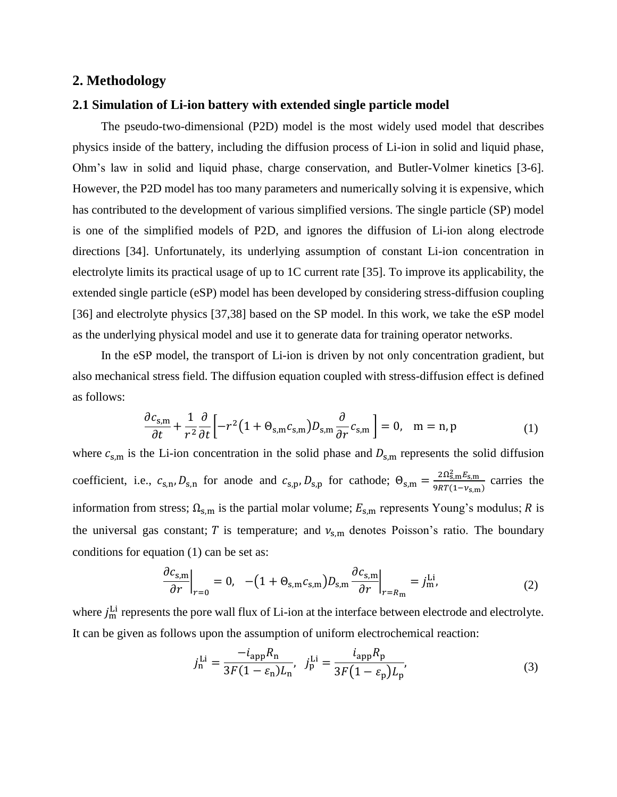#### **2. Methodology**

#### **2.1 Simulation of Li-ion battery with extended single particle model**

The pseudo-two-dimensional (P2D) model is the most widely used model that describes physics inside of the battery, including the diffusion process of Li-ion in solid and liquid phase, Ohm's law in solid and liquid phase, charge conservation, and Butler-Volmer kinetics [3-6]. However, the P2D model has too many parameters and numerically solving it is expensive, which has contributed to the development of various simplified versions. The single particle (SP) model is one of the simplified models of P2D, and ignores the diffusion of Li-ion along electrode directions [34]. Unfortunately, its underlying assumption of constant Li-ion concentration in electrolyte limits its practical usage of up to 1C current rate [35]. To improve its applicability, the extended single particle (eSP) model has been developed by considering stress-diffusion coupling [36] and electrolyte physics [37,38] based on the SP model. In this work, we take the eSP model as the underlying physical model and use it to generate data for training operator networks.

In the eSP model, the transport of Li-ion is driven by not only concentration gradient, but also mechanical stress field. The diffusion equation coupled with stress-diffusion effect is defined as follows:

$$
\frac{\partial c_{s,m}}{\partial t} + \frac{1}{r^2} \frac{\partial}{\partial t} \left[ -r^2 \left( 1 + \Theta_{s,m} c_{s,m} \right) D_{s,m} \frac{\partial}{\partial r} c_{s,m} \right] = 0, \quad m = n, p \tag{1}
$$

where  $c_{s,m}$  is the Li-ion concentration in the solid phase and  $D_{s,m}$  represents the solid diffusion coefficient, i.e.,  $c_{s,n}$ ,  $D_{s,n}$  for anode and  $c_{s,p}$ ,  $D_{s,p}$  for cathode;  $\Theta_{s,m} = \frac{2\Omega_{s,m}^2 E_{s,m}}{9RT(1-N-1)}$  $\frac{2\Omega E_{\rm S,III}E_{\rm S,III}}{9RT(1-\nu_{\rm S,III})}$  carries the information from stress;  $\Omega_{s,m}$  is the partial molar volume;  $E_{s,m}$  represents Young's modulus; R is the universal gas constant; T is temperature; and  $v_{s,m}$  denotes Poisson's ratio. The boundary conditions for equation (1) can be set as:

$$
\left. \frac{\partial c_{s,m}}{\partial r} \right|_{r=0} = 0, \quad -(1 + \Theta_{s,m} c_{s,m}) D_{s,m} \frac{\partial c_{s,m}}{\partial r} \bigg|_{r=R_m} = j_m^{\text{Li}}.
$$

where  $j_m^{\text{Li}}$  represents the pore wall flux of Li-ion at the interface between electrode and electrolyte. It can be given as follows upon the assumption of uniform electrochemical reaction:

$$
j_{\rm n}^{\rm Li} = \frac{-i_{\rm app}R_{\rm n}}{3F(1 - \varepsilon_{\rm n})L_{\rm n}}, \ \ j_{\rm p}^{\rm Li} = \frac{i_{\rm app}R_{\rm p}}{3F(1 - \varepsilon_{\rm p})L_{\rm p}},
$$
 (3)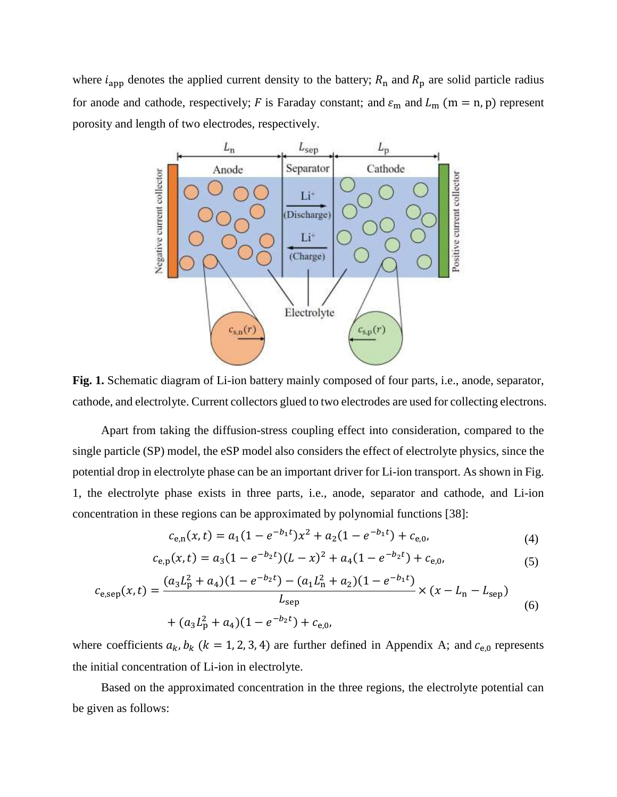where  $i_{app}$  denotes the applied current density to the battery;  $R_n$  and  $R_p$  are solid particle radius for anode and cathode, respectively; F is Faraday constant; and  $\varepsilon_m$  and  $L_m$  (m = n, p) represent porosity and length of two electrodes, respectively.



**Fig. 1.** Schematic diagram of Li-ion battery mainly composed of four parts, i.e., anode, separator, cathode, and electrolyte. Current collectors glued to two electrodes are used for collecting electrons.

Apart from taking the diffusion-stress coupling effect into consideration, compared to the single particle (SP) model, the eSP model also considers the effect of electrolyte physics, since the potential drop in electrolyte phase can be an important driver for Li-ion transport. As shown in Fig. 1, the electrolyte phase exists in three parts, i.e., anode, separator and cathode, and Li-ion concentration in these regions can be approximated by polynomial functions [38]:

$$
c_{e,n}(x,t) = a_1(1 - e^{-b_1t})x^2 + a_2(1 - e^{-b_1t}) + c_{e,0},
$$
\n(4)

$$
c_{e,p}(x,t) = a_3(1 - e^{-b_2t})(L - x)^2 + a_4(1 - e^{-b_2t}) + c_{e,0},
$$
\n(5)

$$
c_{e,sep}(x,t) = \frac{(a_3 L_p^2 + a_4)(1 - e^{-b_2 t}) - (a_1 L_n^2 + a_2)(1 - e^{-b_1 t})}{L_{sep}} \times (x - L_n - L_{sep})
$$
(6)

$$
+ (a_3 L_p^2 + a_4)(1 - e^{-b_2 t}) + c_{e,0},
$$

where coefficients  $a_k$ ,  $b_k$  ( $k = 1, 2, 3, 4$ ) are further defined in Appendix A; and  $c_{e,0}$  represents the initial concentration of Li-ion in electrolyte.

Based on the approximated concentration in the three regions, the electrolyte potential can be given as follows: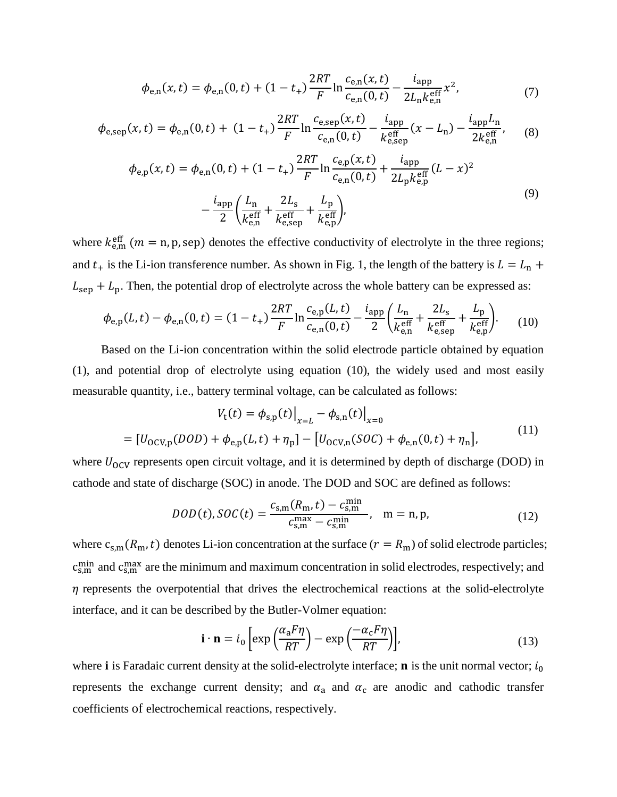$$
\phi_{e,n}(x,t) = \phi_{e,n}(0,t) + (1 - t_{+}) \frac{2RT}{F} \ln \frac{c_{e,n}(x,t)}{c_{e,n}(0,t)} - \frac{i_{\text{app}}}{2L_{n} k_{e,n}^{\text{eff}}} x^{2},\tag{7}
$$

$$
\phi_{e,sep}(x,t) = \phi_{e,n}(0,t) + (1-t_+) \frac{2RT}{F} \ln \frac{c_{e,sep}(x,t)}{c_{e,n}(0,t)} - \frac{i_{app}}{k_{e,sep}^{eff}}(x-L_n) - \frac{i_{app}L_n}{2k_{e,n}^{eff}},
$$
(8)

$$
\phi_{e,p}(x,t) = \phi_{e,n}(0,t) + (1 - t_{+}) \frac{2RT}{F} \ln \frac{c_{e,p}(x,t)}{c_{e,n}(0,t)} + \frac{i_{app}}{2L_{p}k_{e,p}^{\text{eff}}}(L - x)^{2}
$$

$$
- \frac{i_{app}}{2} \left( \frac{L_{n}}{k_{e,n}^{\text{eff}}} + \frac{2L_{s}}{k_{e,sep}^{\text{eff}}} + \frac{L_{p}}{k_{e,p}^{\text{eff}}} \right), \tag{9}
$$

where  $k_{e,m}^{\text{eff}}$  ( $m = n$ , p, sep) denotes the effective conductivity of electrolyte in the three regions; and  $t_{+}$  is the Li-ion transference number. As shown in Fig. 1, the length of the battery is  $L = L_{n}$  +  $L_{\rm sep}$  +  $L_{\rm p}$ . Then, the potential drop of electrolyte across the whole battery can be expressed as:

$$
\phi_{e,p}(L,t) - \phi_{e,n}(0,t) = (1 - t_{+}) \frac{2RT}{F} \ln \frac{c_{e,p}(L,t)}{c_{e,n}(0,t)} - \frac{i_{app}}{2} \left( \frac{L_{n}}{k_{e,n}^{\text{eff}}} + \frac{2L_{s}}{k_{e,sp}^{\text{eff}}} + \frac{L_{p}}{k_{e,p}^{\text{eff}}} \right).
$$
 (10)

Based on the Li-ion concentration within the solid electrode particle obtained by equation (1), and potential drop of electrolyte using equation (10), the widely used and most easily measurable quantity, i.e., battery terminal voltage, can be calculated as follows:

$$
V_{t}(t) = \phi_{s,p}(t)|_{x=L} - \phi_{s,n}(t)|_{x=0}
$$
  
=  $[U_{0CV,p}(DOD) + \phi_{e,p}(L, t) + \eta_{p}] - [U_{0CV,n}(SOC) + \phi_{e,n}(0, t) + \eta_{n}],$  (11)

where  $U_{\text{OCV}}$  represents open circuit voltage, and it is determined by depth of discharge (DOD) in cathode and state of discharge (SOC) in anode. The DOD and SOC are defined as follows:

$$
DOD(t), SOC(t) = \frac{c_{s,m}(R_m, t) - c_{s,m}^{min}}{c_{s,m}^{max} - c_{s,m}^{min}}, \quad m = n, p,
$$
\n(12)

where  $c_{s,m}(R_m,t)$  denotes Li-ion concentration at the surface  $(r = R_m)$  of solid electrode particles;  $c_{s,m}^{min}$  and  $c_{s,m}^{max}$  are the minimum and maximum concentration in solid electrodes, respectively; and  $\eta$  represents the overpotential that drives the electrochemical reactions at the solid-electrolyte interface, and it can be described by the Butler-Volmer equation:

$$
\mathbf{i} \cdot \mathbf{n} = i_0 \left[ \exp\left(\frac{\alpha_a F \eta}{RT}\right) - \exp\left(\frac{-\alpha_c F \eta}{RT}\right) \right],\tag{13}
$$

where **i** is Faradaic current density at the solid-electrolyte interface; **n** is the unit normal vector;  $i_0$ represents the exchange current density; and  $\alpha_a$  and  $\alpha_c$  are anodic and cathodic transfer coefficients of electrochemical reactions, respectively.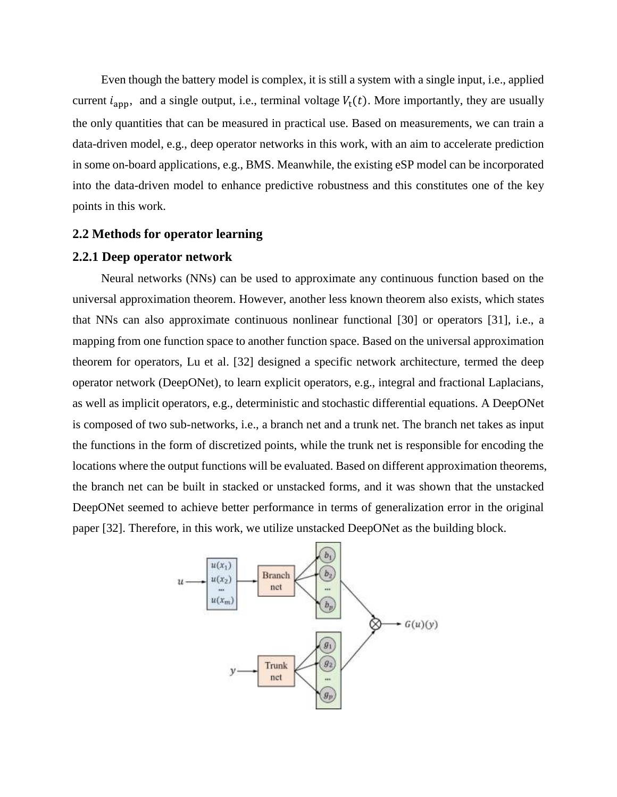Even though the battery model is complex, it is still a system with a single input, i.e., applied current  $i_{\text{app}}$ , and a single output, i.e., terminal voltage  $V_t(t)$ . More importantly, they are usually the only quantities that can be measured in practical use. Based on measurements, we can train a data-driven model, e.g., deep operator networks in this work, with an aim to accelerate prediction in some on-board applications, e.g., BMS. Meanwhile, the existing eSP model can be incorporated into the data-driven model to enhance predictive robustness and this constitutes one of the key points in this work.

#### **2.2 Methods for operator learning**

#### **2.2.1 Deep operator network**

Neural networks (NNs) can be used to approximate any continuous function based on the universal approximation theorem. However, another less known theorem also exists, which states that NNs can also approximate continuous nonlinear functional [30] or operators [31], i.e., a mapping from one function space to another function space. Based on the universal approximation theorem for operators, Lu et al. [32] designed a specific network architecture, termed the deep operator network (DeepONet), to learn explicit operators, e.g., integral and fractional Laplacians, as well as implicit operators, e.g., deterministic and stochastic differential equations. A DeepONet is composed of two sub-networks, i.e., a branch net and a trunk net. The branch net takes as input the functions in the form of discretized points, while the trunk net is responsible for encoding the locations where the output functions will be evaluated. Based on different approximation theorems, the branch net can be built in stacked or unstacked forms, and it was shown that the unstacked DeepONet seemed to achieve better performance in terms of generalization error in the original paper [32]. Therefore, in this work, we utilize unstacked DeepONet as the building block.

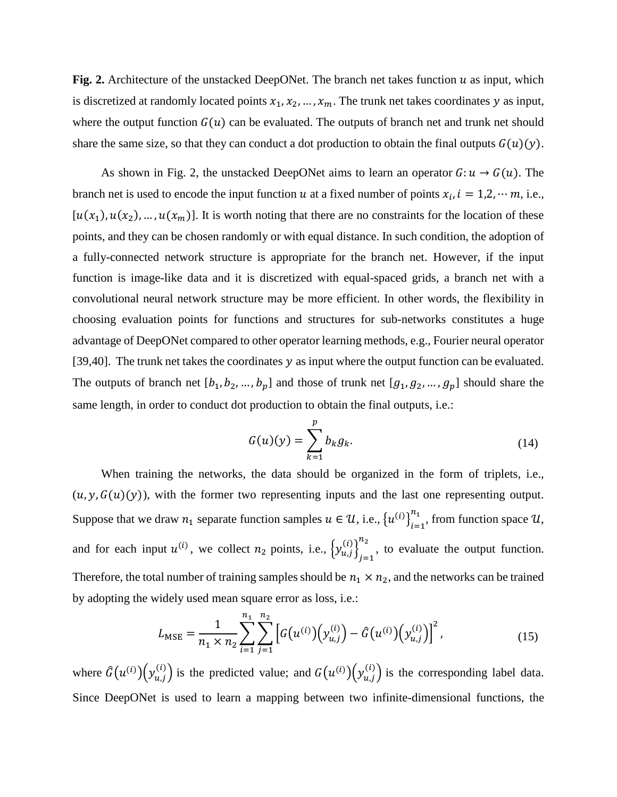**Fig. 2.** Architecture of the unstacked DeepONet. The branch net takes function  $u$  as input, which is discretized at randomly located points  $x_1, x_2, ..., x_m$ . The trunk net takes coordinates y as input, where the output function  $G(u)$  can be evaluated. The outputs of branch net and trunk net should share the same size, so that they can conduct a dot production to obtain the final outputs  $G(u)(y)$ .

As shown in Fig. 2, the unstacked DeepONet aims to learn an operator  $G: u \to G(u)$ . The branch net is used to encode the input function u at a fixed number of points  $x_i$ ,  $i = 1, 2, \dots m$ , i.e.,  $[u(x_1), u(x_2), ..., u(x_m)]$ . It is worth noting that there are no constraints for the location of these points, and they can be chosen randomly or with equal distance. In such condition, the adoption of a fully-connected network structure is appropriate for the branch net. However, if the input function is image-like data and it is discretized with equal-spaced grids, a branch net with a convolutional neural network structure may be more efficient. In other words, the flexibility in choosing evaluation points for functions and structures for sub-networks constitutes a huge advantage of DeepONet compared to other operator learning methods, e.g., Fourier neural operator [39,40]. The trunk net takes the coordinates  $y$  as input where the output function can be evaluated. The outputs of branch net  $[b_1, b_2, ..., b_p]$  and those of trunk net  $[g_1, g_2, ..., g_p]$  should share the same length, in order to conduct dot production to obtain the final outputs, i.e.:

$$
G(u)(y) = \sum_{k=1}^{p} b_k g_k.
$$
\n(14)

When training the networks, the data should be organized in the form of triplets, i.e.,  $(u, y, G(u)(y))$ , with the former two representing inputs and the last one representing output. Suppose that we draw  $n_1$  separate function samples  $u \in \mathcal{U}$ , i.e.,  $\{u^{(i)}\}_{i=1}^{n_1}$  $\sum_{i=1}^{n_1}$ , from function space  $\mathcal{U}$ , and for each input  $u^{(i)}$ , we collect  $n_2$  points, i.e.,  $\left\{y_{u,j}^{(i)}\right\}_{j=1}^{n_2}$  $n_2$ , to evaluate the output function. Therefore, the total number of training samples should be  $n_1 \times n_2$ , and the networks can be trained by adopting the widely used mean square error as loss, i.e.:

$$
L_{\text{MSE}} = \frac{1}{n_1 \times n_2} \sum_{i=1}^{n_1} \sum_{j=1}^{n_2} \left[ G(u^{(i)}) \left( y_{u,j}^{(i)} \right) - \hat{G}(u^{(i)}) \left( y_{u,j}^{(i)} \right) \right]^2, \tag{15}
$$

where  $\hat{G}(u^{(i)}) (y_{u,j}^{(i)})$  is the predicted value; and  $G(u^{(i)}) (y_{u,j}^{(i)})$  is the corresponding label data. Since DeepONet is used to learn a mapping between two infinite-dimensional functions, the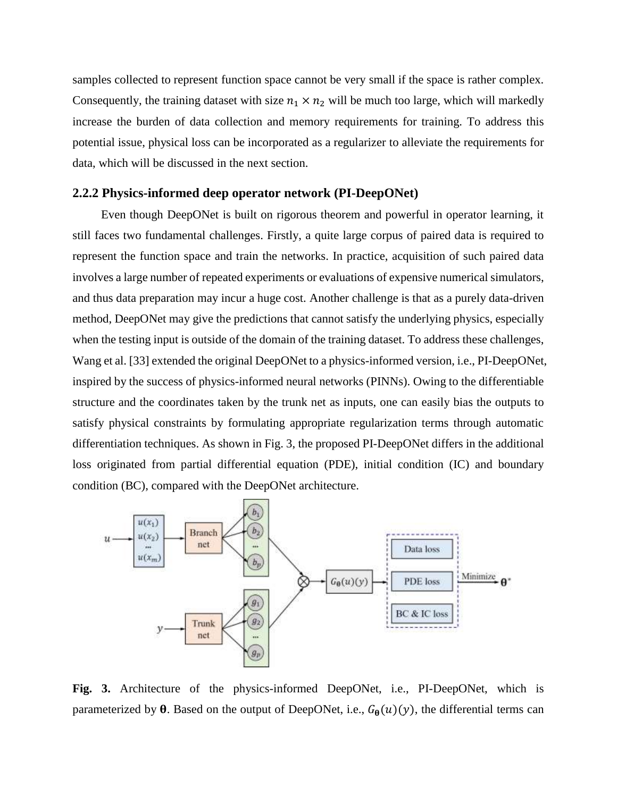samples collected to represent function space cannot be very small if the space is rather complex. Consequently, the training dataset with size  $n_1 \times n_2$  will be much too large, which will markedly increase the burden of data collection and memory requirements for training. To address this potential issue, physical loss can be incorporated as a regularizer to alleviate the requirements for data, which will be discussed in the next section.

#### **2.2.2 Physics-informed deep operator network (PI-DeepONet)**

Even though DeepONet is built on rigorous theorem and powerful in operator learning, it still faces two fundamental challenges. Firstly, a quite large corpus of paired data is required to represent the function space and train the networks. In practice, acquisition of such paired data involves a large number of repeated experiments or evaluations of expensive numerical simulators, and thus data preparation may incur a huge cost. Another challenge is that as a purely data-driven method, DeepONet may give the predictions that cannot satisfy the underlying physics, especially when the testing input is outside of the domain of the training dataset. To address these challenges, Wang et al. [33] extended the original DeepONet to a physics-informed version, i.e., PI-DeepONet, inspired by the success of physics-informed neural networks (PINNs). Owing to the differentiable structure and the coordinates taken by the trunk net as inputs, one can easily bias the outputs to satisfy physical constraints by formulating appropriate regularization terms through automatic differentiation techniques. As shown in Fig. 3, the proposed PI-DeepONet differs in the additional loss originated from partial differential equation (PDE), initial condition (IC) and boundary condition (BC), compared with the DeepONet architecture.



**Fig. 3.** Architecture of the physics-informed DeepONet, i.e., PI-DeepONet, which is parameterized by  $\theta$ . Based on the output of DeepONet, i.e.,  $G_{\theta}(u)(y)$ , the differential terms can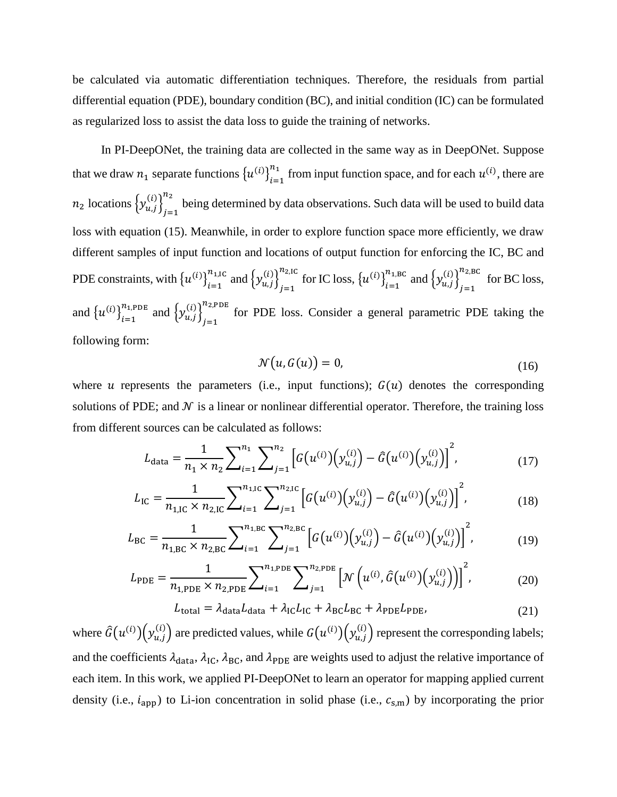be calculated via automatic differentiation techniques. Therefore, the residuals from partial differential equation (PDE), boundary condition (BC), and initial condition (IC) can be formulated as regularized loss to assist the data loss to guide the training of networks.

In PI-DeepONet, the training data are collected in the same way as in DeepONet. Suppose that we draw  $n_1$  separate functions  $\left\{u^{(i)}\right\}_{i=1}^{n_1}$  $\frac{n_1}{n_{i-1}}$  from input function space, and for each  $u^{(i)}$ , there are  $n_2$  locations  $\left\{y_{u,j}^{(i)}\right\}_{j=1}^{n_2}$  $n_2$  being determined by data observations. Such data will be used to build data loss with equation (15). Meanwhile, in order to explore function space more efficiently, we draw different samples of input function and locations of output function for enforcing the IC, BC and PDE constraints, with  $\{u^{(i)}\}_{i=1}^{n_{1,\text{IC}}}$  and  $\{y_{u,j}^{(i)}\}_{j=1}^{n_{2,\text{IC}}}$  $\sum_{j=1}^{n_{2,\text{IC}}}$  for IC loss,  $\{u^{(i)}\}_{i=1}^{n_{1,\text{BC}}}$  and  $\{y_{u,j}^{(i)}\}_{j=1}^{n_{2,\text{B}}}$  $n_{2,BC}$  for BC loss, and  $\{u^{(i)}\}_{i=1}^{n_{1,\text{PDE}}}$  and  $\{y_{u,j}^{(i)}\}_{j=1}^{n_{2,\text{P}}}$  $n_{2,PDE}$  for PDE loss. Consider a general parametric PDE taking the following form:

$$
\mathcal{N}(u, G(u)) = 0,\tag{16}
$$

where  $u$  represents the parameters (i.e., input functions);  $G(u)$  denotes the corresponding solutions of PDE; and  $\mathcal N$  is a linear or nonlinear differential operator. Therefore, the training loss from different sources can be calculated as follows:

$$
L_{\text{data}} = \frac{1}{n_1 \times n_2} \sum_{i=1}^{n_1} \sum_{j=1}^{n_2} \left[ G(u^{(i)}) \left( y_{u,j}^{(i)} \right) - \hat{G}(u^{(i)}) \left( y_{u,j}^{(i)} \right) \right]^2, \tag{17}
$$

$$
L_{\rm IC} = \frac{1}{n_{1,\rm IC} \times n_{2,\rm IC}} \sum_{i=1}^{n_{1,\rm IC}} \sum_{j=1}^{n_{2,\rm IC}} \left[ G(u^{(i)}) \left( y_{u,j}^{(i)} \right) - \hat{G}(u^{(i)}) \left( y_{u,j}^{(i)} \right) \right]^2, \tag{18}
$$

$$
L_{\rm BC} = \frac{1}{n_{1,\rm BC} \times n_{2,\rm BC}} \sum_{i=1}^{n_{1,\rm BC}} \sum_{j=1}^{n_{2,\rm BC}} \left[ G(u^{(i)}) \left( y_{u,j}^{(i)} \right) - \hat{G}(u^{(i)}) \left( y_{u,j}^{(i)} \right) \right]^2, \tag{19}
$$

$$
L_{\rm PDE} = \frac{1}{n_{1,\rm PDE} \times n_{2,\rm PDE}} \sum_{i=1}^{n_{1,\rm PDE}} \sum_{j=1}^{n_{2,\rm PDE}} \left[ \mathcal{N}\left(u^{(i)}, \hat{G}\left(u^{(i)}\right)\left(y_{u,j}^{(i)}\right)\right) \right]^2, \tag{20}
$$

$$
L_{\text{total}} = \lambda_{\text{data}} L_{\text{data}} + \lambda_{\text{IC}} L_{\text{IC}} + \lambda_{\text{B}} L_{\text{B}} + \lambda_{\text{PDE}} L_{\text{PDE}},\tag{21}
$$

where  $\hat{G}(u^{(i)}) (y_{u,j}^{(i)})$  are predicted values, while  $G(u^{(i)}) (y_{u,j}^{(i)})$  represent the corresponding labels; and the coefficients  $\lambda_{data}$ ,  $\lambda_{IC}$ ,  $\lambda_{BC}$ , and  $\lambda_{PDE}$  are weights used to adjust the relative importance of each item. In this work, we applied PI-DeepONet to learn an operator for mapping applied current density (i.e.,  $i_{app}$ ) to Li-ion concentration in solid phase (i.e.,  $c_{s,m}$ ) by incorporating the prior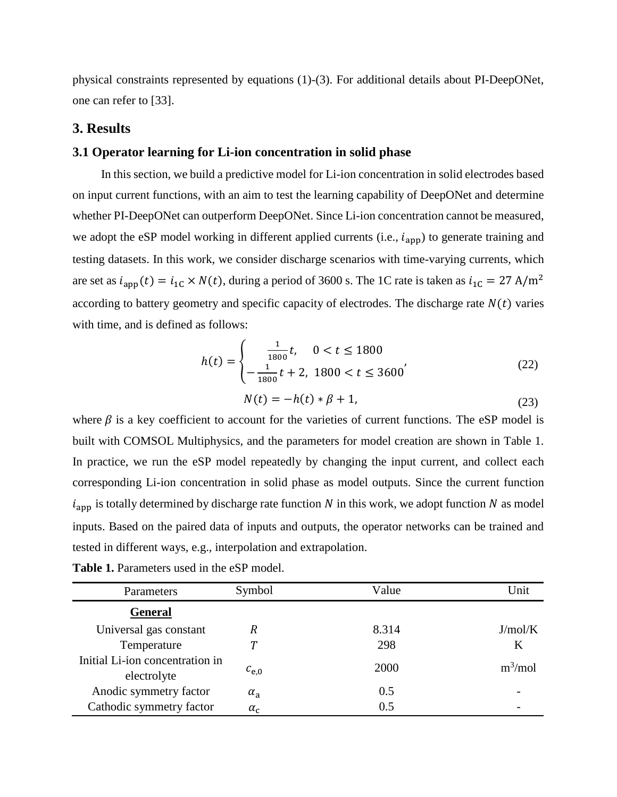physical constraints represented by equations (1)-(3). For additional details about PI-DeepONet, one can refer to [33].

## **3. Results**

## **3.1 Operator learning for Li-ion concentration in solid phase**

In this section, we build a predictive model for Li-ion concentration in solid electrodes based on input current functions, with an aim to test the learning capability of DeepONet and determine whether PI-DeepONet can outperform DeepONet. Since Li-ion concentration cannot be measured, we adopt the eSP model working in different applied currents (i.e.,  $i_{app}$ ) to generate training and testing datasets. In this work, we consider discharge scenarios with time-varying currents, which are set as  $i_{app}(t) = i_{1C} \times N(t)$ , during a period of 3600 s. The 1C rate is taken as  $i_{1C} = 27$  A/m<sup>2</sup> according to battery geometry and specific capacity of electrodes. The discharge rate  $N(t)$  varies with time, and is defined as follows:

$$
h(t) = \begin{cases} \frac{1}{1800}t, & 0 < t \le 1800\\ -\frac{1}{1800}t + 2, & 1800 < t \le 3600 \end{cases}
$$
(22)  

$$
N(t) = -h(t) * \beta + 1,
$$
(23)

where  $\beta$  is a key coefficient to account for the varieties of current functions. The eSP model is built with COMSOL Multiphysics, and the parameters for model creation are shown in Table 1. In practice, we run the eSP model repeatedly by changing the input current, and collect each corresponding Li-ion concentration in solid phase as model outputs. Since the current function  $i<sub>app</sub>$  is totally determined by discharge rate function N in this work, we adopt function N as model inputs. Based on the paired data of inputs and outputs, the operator networks can be trained and tested in different ways, e.g., interpolation and extrapolation.

| Parameters                                     | Symbol           | Value | Unit       |
|------------------------------------------------|------------------|-------|------------|
| General                                        |                  |       |            |
| Universal gas constant                         | R                | 8.314 | J/mol/K    |
| Temperature                                    |                  | 298   | Κ          |
| Initial Li-ion concentration in<br>electrolyte | $c_{e,0}$        | 2000  | $m^3$ /mol |
| Anodic symmetry factor                         | $\alpha_{\rm a}$ | 0.5   |            |
| Cathodic symmetry factor                       | $\alpha_c$       | 0.5   |            |

**Table 1.** Parameters used in the eSP model.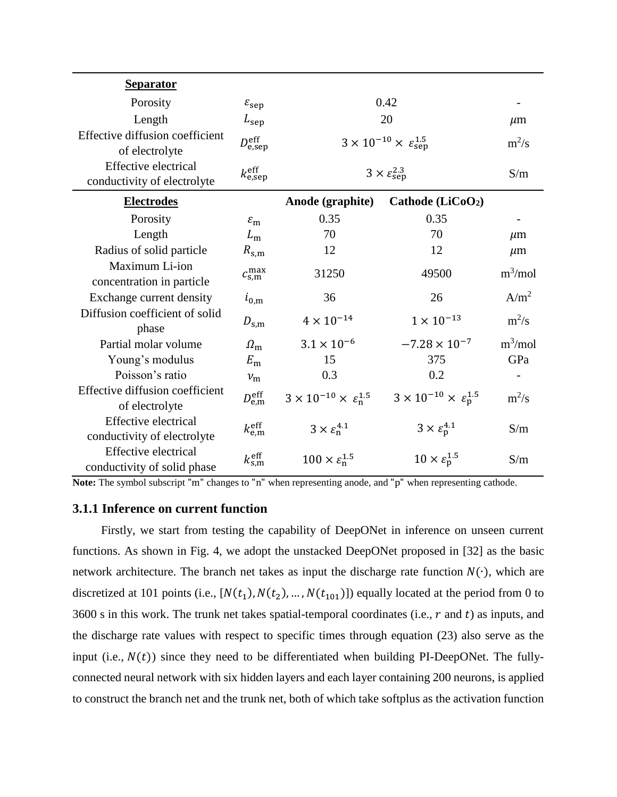| <b>Separator</b>                                           |                               |                                                           |                                               |                  |
|------------------------------------------------------------|-------------------------------|-----------------------------------------------------------|-----------------------------------------------|------------------|
| Porosity                                                   | $\varepsilon_{\rm sep}$       | 0.42                                                      |                                               |                  |
| Length                                                     | $L_{\rm sep}$                 | 20                                                        | $\mu$ m                                       |                  |
| Effective diffusion coefficient<br>of electrolyte          | $D_{\rm e,sep}^{\rm eff}$     | $3 \times 10^{-10} \times \varepsilon_{\text{sen}}^{1.5}$ | $m^2/s$                                       |                  |
| <b>Effective electrical</b><br>conductivity of electrolyte | $k_{\rm e,sep}^{\rm eff}$     | $3 \times \varepsilon_{\text{sep}}^{2.3}$                 | S/m                                           |                  |
| <b>Electrodes</b>                                          |                               | Anode (graphite)                                          | Cathode (LiCoO <sub>2</sub> )                 |                  |
| Porosity                                                   | $\varepsilon_{\rm m}$         | 0.35                                                      | 0.35                                          |                  |
| Length                                                     | $L_{\rm m}$                   | 70                                                        | 70                                            | $\mu$ m          |
| Radius of solid particle                                   | $R_{\rm s,m}$                 | 12                                                        | 12                                            | $\mu$ m          |
| Maximum Li-ion<br>concentration in particle                | $c_{\rm s,m}^{\rm max}$       | 31250                                                     | 49500                                         | $m^3$ /mol       |
| Exchange current density                                   | $i_{0,\text{m}}$              | 36                                                        | 26                                            | A/m <sup>2</sup> |
| Diffusion coefficient of solid<br>phase                    | $D_{\rm s,m}$                 | $4\times10^{-14}$                                         | $1 \times 10^{-13}$                           | $m^2/s$          |
| Partial molar volume                                       | $\Omega_{\rm m}$              | $3.1 \times 10^{-6}$                                      | $-7.28 \times 10^{-7}$                        | $m^3$ /mol       |
| Young's modulus                                            | $E_{\rm m}$                   | 15                                                        | 375                                           | GPa              |
| Poisson's ratio                                            | $v_{\rm m}$                   | 0.3                                                       | 0.2                                           |                  |
| Effective diffusion coefficient<br>of electrolyte          | $D_{\rm e,m}^{\rm eff}$       | $3 \times 10^{-10} \times \varepsilon_n^{1.5}$            | $3 \times 10^{-10} \times \epsilon_{p}^{1.5}$ | $m^2/s$          |
| <b>Effective electrical</b><br>conductivity of electrolyte | $k_{\text{e,m}}^{\text{eff}}$ | $3 \times \varepsilon_n^{4.1}$                            | $3 \times \varepsilon_{p}^{4.1}$              | S/m              |
| <b>Effective electrical</b><br>conductivity of solid phase | $k_{\rm s,m}^{\rm eff}$       | $100 \times \varepsilon_{n}^{1.5}$                        | $10 \times \varepsilon_{p}^{1.5}$             | S/m              |

**Note:** The symbol subscript "m" changes to "n" when representing anode, and "p" when representing cathode.

#### **3.1.1 Inference on current function**

Firstly, we start from testing the capability of DeepONet in inference on unseen current functions. As shown in Fig. 4, we adopt the unstacked DeepONet proposed in [32] as the basic network architecture. The branch net takes as input the discharge rate function  $N(\cdot)$ , which are discretized at 101 points (i.e.,  $[N(t_1), N(t_2), ..., N(t_{101})]$ ) equally located at the period from 0 to 3600 s in this work. The trunk net takes spatial-temporal coordinates (i.e.,  $r$  and  $t$ ) as inputs, and the discharge rate values with respect to specific times through equation (23) also serve as the input (i.e.,  $N(t)$ ) since they need to be differentiated when building PI-DeepONet. The fullyconnected neural network with six hidden layers and each layer containing 200 neurons, is applied to construct the branch net and the trunk net, both of which take softplus as the activation function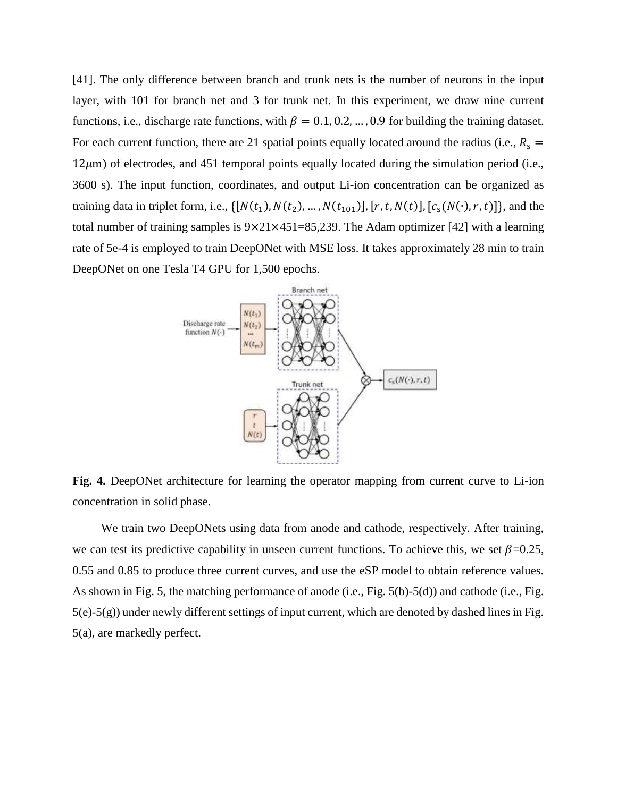[41]. The only difference between branch and trunk nets is the number of neurons in the input layer, with 101 for branch net and 3 for trunk net. In this experiment, we draw nine current functions, i.e., discharge rate functions, with  $\beta = 0.1, 0.2, \dots, 0.9$  for building the training dataset. For each current function, there are 21 spatial points equally located around the radius (i.e.,  $R_s$  =  $12\mu$ m) of electrodes, and 451 temporal points equally located during the simulation period (i.e., 3600 s). The input function, coordinates, and output Li-ion concentration can be organized as training data in triplet form, i.e.,  $\{[N(t_1), N(t_2), ..., N(t_{101})], [r, t, N(t)], [c_s(N(\cdot), r, t)]\}$ , and the total number of training samples is  $9 \times 21 \times 451 = 85,239$ . The Adam optimizer [42] with a learning rate of 5e-4 is employed to train DeepONet with MSE loss. It takes approximately 28 min to train DeepONet on one Tesla T4 GPU for 1,500 epochs.



**Fig. 4.** DeepONet architecture for learning the operator mapping from current curve to Li-ion concentration in solid phase.

We train two DeepONets using data from anode and cathode, respectively. After training, we can test its predictive capability in unseen current functions. To achieve this, we set  $\beta$ =0.25, 0.55 and 0.85 to produce three current curves, and use the eSP model to obtain reference values. As shown in Fig. 5, the matching performance of anode (i.e., Fig. 5(b)-5(d)) and cathode (i.e., Fig. 5(e)-5(g)) under newly different settings of input current, which are denoted by dashed lines in Fig. 5(a), are markedly perfect.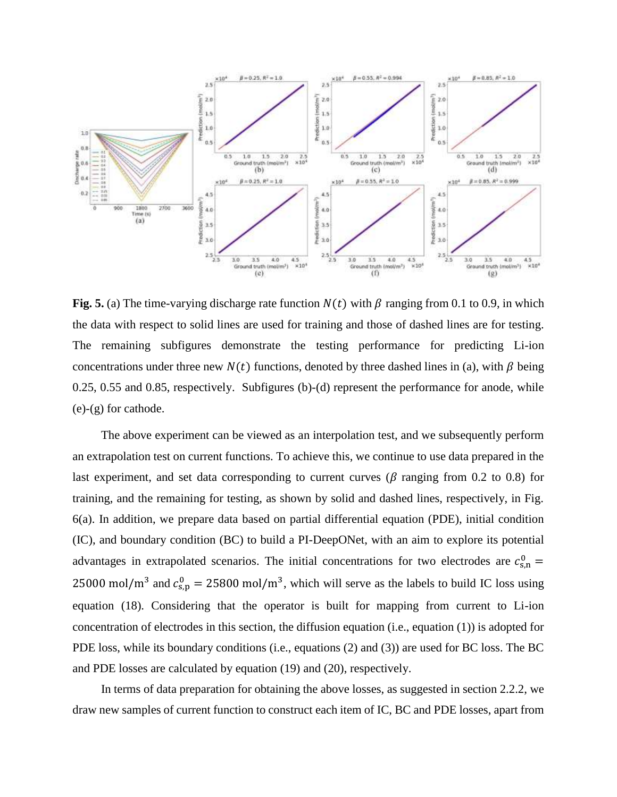

**Fig. 5.** (a) The time-varying discharge rate function  $N(t)$  with  $\beta$  ranging from 0.1 to 0.9, in which the data with respect to solid lines are used for training and those of dashed lines are for testing. The remaining subfigures demonstrate the testing performance for predicting Li-ion concentrations under three new  $N(t)$  functions, denoted by three dashed lines in (a), with  $\beta$  being 0.25, 0.55 and 0.85, respectively. Subfigures (b)-(d) represent the performance for anode, while (e)-(g) for cathode.

The above experiment can be viewed as an interpolation test, and we subsequently perform an extrapolation test on current functions. To achieve this, we continue to use data prepared in the last experiment, and set data corresponding to current curves ( $\beta$  ranging from 0.2 to 0.8) for training, and the remaining for testing, as shown by solid and dashed lines, respectively, in Fig. 6(a). In addition, we prepare data based on partial differential equation (PDE), initial condition (IC), and boundary condition (BC) to build a PI-DeepONet, with an aim to explore its potential advantages in extrapolated scenarios. The initial concentrations for two electrodes are  $c_{s,n}^0$  = 25000 mol/m<sup>3</sup> and  $c_{s,p}^0 = 25800$  mol/m<sup>3</sup>, which will serve as the labels to build IC loss using equation (18). Considering that the operator is built for mapping from current to Li-ion concentration of electrodes in this section, the diffusion equation (i.e., equation (1)) is adopted for PDE loss, while its boundary conditions (i.e., equations (2) and (3)) are used for BC loss. The BC and PDE losses are calculated by equation (19) and (20), respectively.

In terms of data preparation for obtaining the above losses, as suggested in section 2.2.2, we draw new samples of current function to construct each item of IC, BC and PDE losses, apart from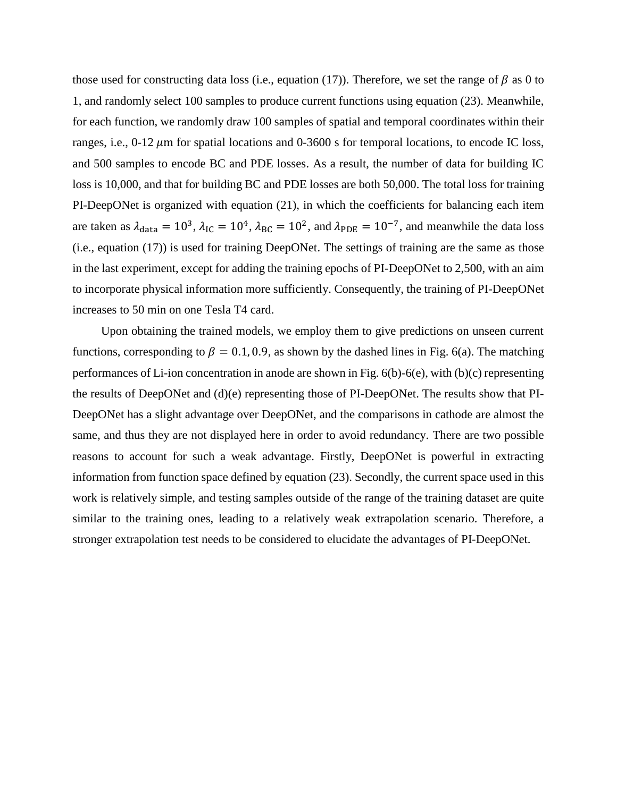those used for constructing data loss (i.e., equation (17)). Therefore, we set the range of  $\beta$  as 0 to 1, and randomly select 100 samples to produce current functions using equation (23). Meanwhile, for each function, we randomly draw 100 samples of spatial and temporal coordinates within their ranges, i.e.,  $0-12 \mu m$  for spatial locations and  $0-3600$  s for temporal locations, to encode IC loss, and 500 samples to encode BC and PDE losses. As a result, the number of data for building IC loss is 10,000, and that for building BC and PDE losses are both 50,000. The total loss for training PI-DeepONet is organized with equation (21), in which the coefficients for balancing each item are taken as  $\lambda_{data} = 10^3$ ,  $\lambda_{IC} = 10^4$ ,  $\lambda_{BC} = 10^2$ , and  $\lambda_{PDE} = 10^{-7}$ , and meanwhile the data loss (i.e., equation (17)) is used for training DeepONet. The settings of training are the same as those in the last experiment, except for adding the training epochs of PI-DeepONet to 2,500, with an aim to incorporate physical information more sufficiently. Consequently, the training of PI-DeepONet increases to 50 min on one Tesla T4 card.

Upon obtaining the trained models, we employ them to give predictions on unseen current functions, corresponding to  $\beta = 0.1, 0.9$ , as shown by the dashed lines in Fig. 6(a). The matching performances of Li-ion concentration in anode are shown in Fig. 6(b)-6(e), with (b)(c) representing the results of DeepONet and (d)(e) representing those of PI-DeepONet. The results show that PI-DeepONet has a slight advantage over DeepONet, and the comparisons in cathode are almost the same, and thus they are not displayed here in order to avoid redundancy. There are two possible reasons to account for such a weak advantage. Firstly, DeepONet is powerful in extracting information from function space defined by equation (23). Secondly, the current space used in this work is relatively simple, and testing samples outside of the range of the training dataset are quite similar to the training ones, leading to a relatively weak extrapolation scenario. Therefore, a stronger extrapolation test needs to be considered to elucidate the advantages of PI-DeepONet.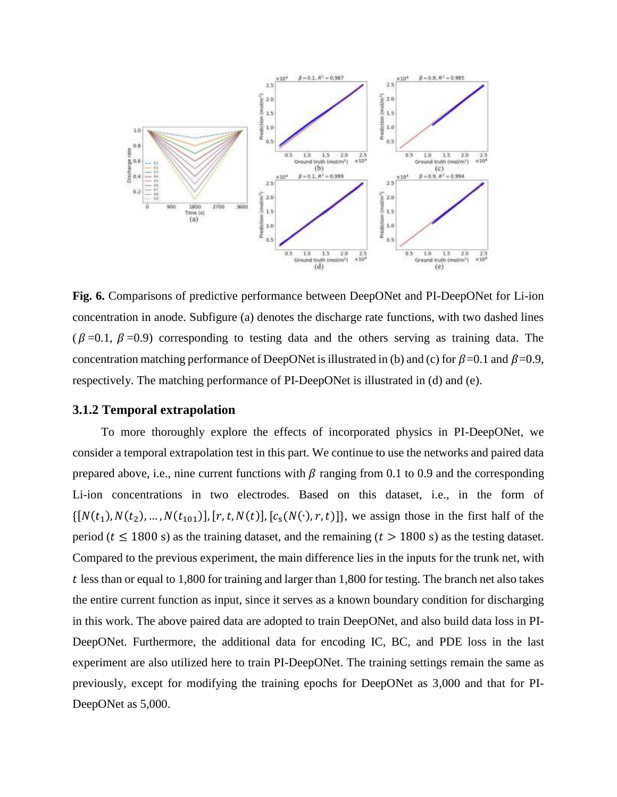

**Fig. 6.** Comparisons of predictive performance between DeepONet and PI-DeepONet for Li-ion concentration in anode. Subfigure (a) denotes the discharge rate functions, with two dashed lines  $(\beta = 0.1, \beta = 0.9)$  corresponding to testing data and the others serving as training data. The concentration matching performance of DeepONet is illustrated in (b) and (c) for  $\beta$ =0.1 and  $\beta$ =0.9, respectively. The matching performance of PI-DeepONet is illustrated in (d) and (e).

## **3.1.2 Temporal extrapolation**

To more thoroughly explore the effects of incorporated physics in PI-DeepONet, we consider a temporal extrapolation test in this part. We continue to use the networks and paired data prepared above, i.e., nine current functions with  $\beta$  ranging from 0.1 to 0.9 and the corresponding Li-ion concentrations in two electrodes. Based on this dataset, i.e., in the form of  $\{[N(t_1), N(t_2), ..., N(t_{101})], [r, t, N(t)], [c_s(N(\cdot), r, t)]\}$ , we assign those in the first half of the period ( $t \le 1800$  s) as the training dataset, and the remaining ( $t > 1800$  s) as the testing dataset. Compared to the previous experiment, the main difference lies in the inputs for the trunk net, with  $t$  less than or equal to 1,800 for training and larger than 1,800 for testing. The branch net also takes the entire current function as input, since it serves as a known boundary condition for discharging in this work. The above paired data are adopted to train DeepONet, and also build data loss in PI-DeepONet. Furthermore, the additional data for encoding IC, BC, and PDE loss in the last experiment are also utilized here to train PI-DeepONet. The training settings remain the same as previously, except for modifying the training epochs for DeepONet as 3,000 and that for PI-DeepONet as 5,000.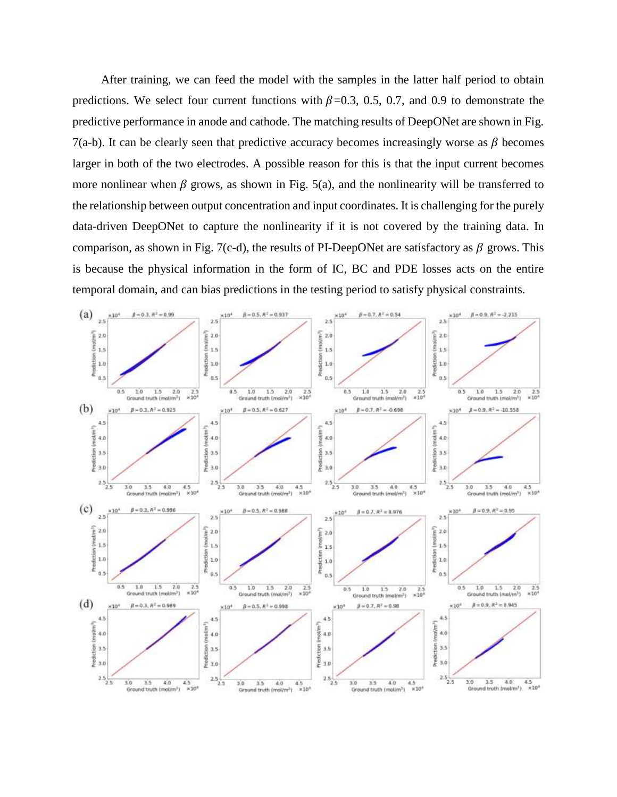After training, we can feed the model with the samples in the latter half period to obtain predictions. We select four current functions with  $\beta$ =0.3, 0.5, 0.7, and 0.9 to demonstrate the predictive performance in anode and cathode. The matching results of DeepONet are shown in Fig. 7(a-b). It can be clearly seen that predictive accuracy becomes increasingly worse as  $\beta$  becomes larger in both of the two electrodes. A possible reason for this is that the input current becomes more nonlinear when  $\beta$  grows, as shown in Fig. 5(a), and the nonlinearity will be transferred to the relationship between output concentration and input coordinates. It is challenging for the purely data-driven DeepONet to capture the nonlinearity if it is not covered by the training data. In comparison, as shown in Fig. 7(c-d), the results of PI-DeepONet are satisfactory as  $\beta$  grows. This is because the physical information in the form of IC, BC and PDE losses acts on the entire temporal domain, and can bias predictions in the testing period to satisfy physical constraints.

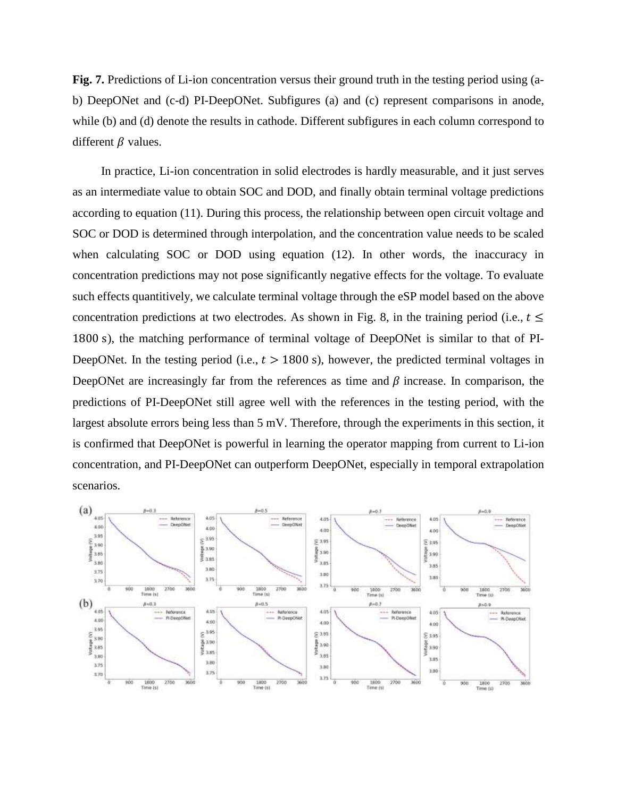**Fig. 7.** Predictions of Li-ion concentration versus their ground truth in the testing period using (ab) DeepONet and (c-d) PI-DeepONet. Subfigures (a) and (c) represent comparisons in anode, while (b) and (d) denote the results in cathode. Different subfigures in each column correspond to different  $\beta$  values.

In practice, Li-ion concentration in solid electrodes is hardly measurable, and it just serves as an intermediate value to obtain SOC and DOD, and finally obtain terminal voltage predictions according to equation (11). During this process, the relationship between open circuit voltage and SOC or DOD is determined through interpolation, and the concentration value needs to be scaled when calculating SOC or DOD using equation (12). In other words, the inaccuracy in concentration predictions may not pose significantly negative effects for the voltage. To evaluate such effects quantitively, we calculate terminal voltage through the eSP model based on the above concentration predictions at two electrodes. As shown in Fig. 8, in the training period (i.e.,  $t \leq$ 1800 s), the matching performance of terminal voltage of DeepONet is similar to that of PI-DeepONet. In the testing period (i.e.,  $t > 1800$  s), however, the predicted terminal voltages in DeepONet are increasingly far from the references as time and  $\beta$  increase. In comparison, the predictions of PI-DeepONet still agree well with the references in the testing period, with the largest absolute errors being less than 5 mV. Therefore, through the experiments in this section, it is confirmed that DeepONet is powerful in learning the operator mapping from current to Li-ion concentration, and PI-DeepONet can outperform DeepONet, especially in temporal extrapolation scenarios.

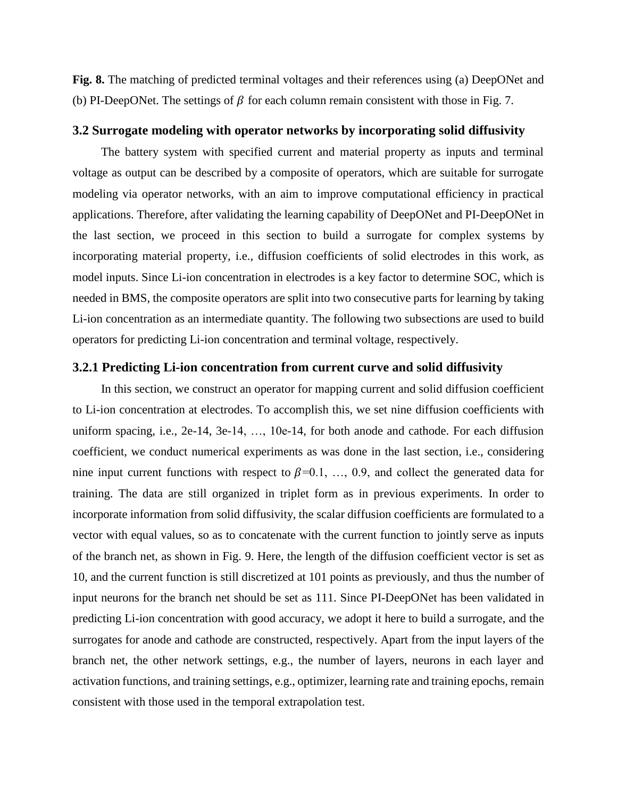**Fig. 8.** The matching of predicted terminal voltages and their references using (a) DeepONet and (b) PI-DeepONet. The settings of  $\beta$  for each column remain consistent with those in Fig. 7.

#### **3.2 Surrogate modeling with operator networks by incorporating solid diffusivity**

The battery system with specified current and material property as inputs and terminal voltage as output can be described by a composite of operators, which are suitable for surrogate modeling via operator networks, with an aim to improve computational efficiency in practical applications. Therefore, after validating the learning capability of DeepONet and PI-DeepONet in the last section, we proceed in this section to build a surrogate for complex systems by incorporating material property, i.e., diffusion coefficients of solid electrodes in this work, as model inputs. Since Li-ion concentration in electrodes is a key factor to determine SOC, which is needed in BMS, the composite operators are split into two consecutive parts for learning by taking Li-ion concentration as an intermediate quantity. The following two subsections are used to build operators for predicting Li-ion concentration and terminal voltage, respectively.

## **3.2.1 Predicting Li-ion concentration from current curve and solid diffusivity**

In this section, we construct an operator for mapping current and solid diffusion coefficient to Li-ion concentration at electrodes. To accomplish this, we set nine diffusion coefficients with uniform spacing, i.e., 2e-14, 3e-14, …, 10e-14, for both anode and cathode. For each diffusion coefficient, we conduct numerical experiments as was done in the last section, i.e., considering nine input current functions with respect to  $\beta=0.1, \ldots, 0.9$ , and collect the generated data for training. The data are still organized in triplet form as in previous experiments. In order to incorporate information from solid diffusivity, the scalar diffusion coefficients are formulated to a vector with equal values, so as to concatenate with the current function to jointly serve as inputs of the branch net, as shown in Fig. 9. Here, the length of the diffusion coefficient vector is set as 10, and the current function is still discretized at 101 points as previously, and thus the number of input neurons for the branch net should be set as 111. Since PI-DeepONet has been validated in predicting Li-ion concentration with good accuracy, we adopt it here to build a surrogate, and the surrogates for anode and cathode are constructed, respectively. Apart from the input layers of the branch net, the other network settings, e.g., the number of layers, neurons in each layer and activation functions, and training settings, e.g., optimizer, learning rate and training epochs, remain consistent with those used in the temporal extrapolation test.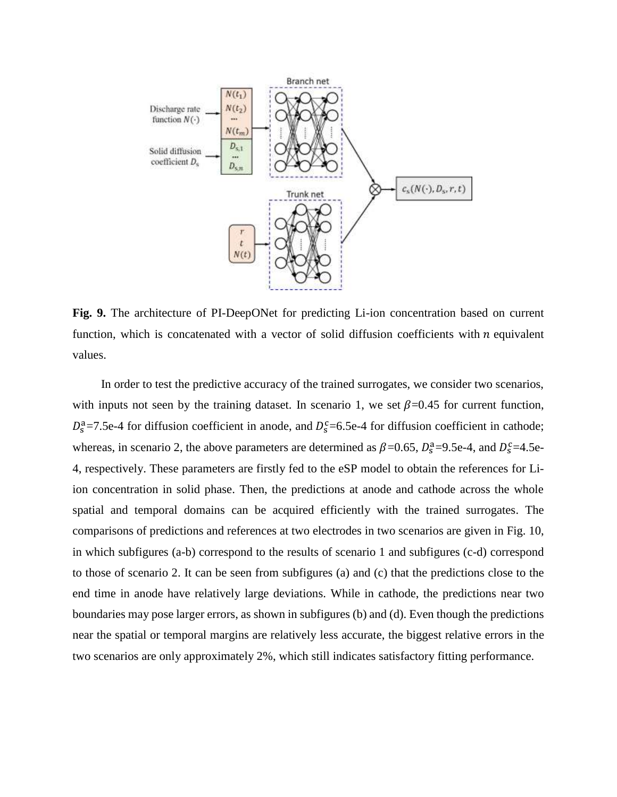

**Fig. 9.** The architecture of PI-DeepONet for predicting Li-ion concentration based on current function, which is concatenated with a vector of solid diffusion coefficients with  $n$  equivalent values.

In order to test the predictive accuracy of the trained surrogates, we consider two scenarios, with inputs not seen by the training dataset. In scenario 1, we set  $\beta$ =0.45 for current function,  $D_s^a$ =7.5e-4 for diffusion coefficient in anode, and  $D_s^c$ =6.5e-4 for diffusion coefficient in cathode; whereas, in scenario 2, the above parameters are determined as  $\beta$ =0.65,  $D_s^a$ =9.5e-4, and  $D_s^c$ =4.5e-4, respectively. These parameters are firstly fed to the eSP model to obtain the references for Liion concentration in solid phase. Then, the predictions at anode and cathode across the whole spatial and temporal domains can be acquired efficiently with the trained surrogates. The comparisons of predictions and references at two electrodes in two scenarios are given in Fig. 10, in which subfigures (a-b) correspond to the results of scenario 1 and subfigures (c-d) correspond to those of scenario 2. It can be seen from subfigures (a) and (c) that the predictions close to the end time in anode have relatively large deviations. While in cathode, the predictions near two boundaries may pose larger errors, as shown in subfigures (b) and (d). Even though the predictions near the spatial or temporal margins are relatively less accurate, the biggest relative errors in the two scenarios are only approximately 2%, which still indicates satisfactory fitting performance.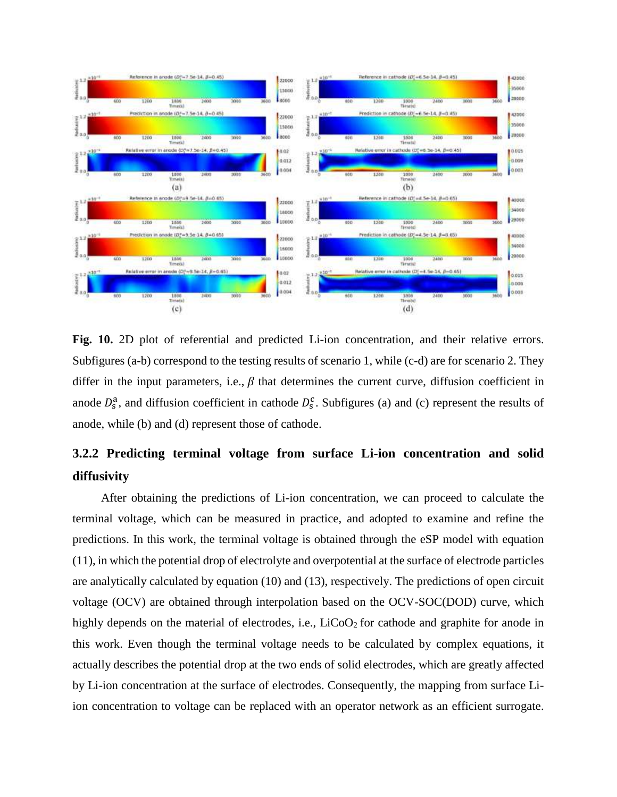

Fig. 10. 2D plot of referential and predicted Li-ion concentration, and their relative errors. Subfigures (a-b) correspond to the testing results of scenario 1, while (c-d) are for scenario 2. They differ in the input parameters, i.e.,  $\beta$  that determines the current curve, diffusion coefficient in anode  $D_s^a$ , and diffusion coefficient in cathode  $D_s^c$ . Subfigures (a) and (c) represent the results of anode, while (b) and (d) represent those of cathode.

# **3.2.2 Predicting terminal voltage from surface Li-ion concentration and solid diffusivity**

After obtaining the predictions of Li-ion concentration, we can proceed to calculate the terminal voltage, which can be measured in practice, and adopted to examine and refine the predictions. In this work, the terminal voltage is obtained through the eSP model with equation (11), in which the potential drop of electrolyte and overpotential at the surface of electrode particles are analytically calculated by equation (10) and (13), respectively. The predictions of open circuit voltage (OCV) are obtained through interpolation based on the OCV-SOC(DOD) curve, which highly depends on the material of electrodes, i.e.,  $LiCoO<sub>2</sub>$  for cathode and graphite for anode in this work. Even though the terminal voltage needs to be calculated by complex equations, it actually describes the potential drop at the two ends of solid electrodes, which are greatly affected by Li-ion concentration at the surface of electrodes. Consequently, the mapping from surface Liion concentration to voltage can be replaced with an operator network as an efficient surrogate.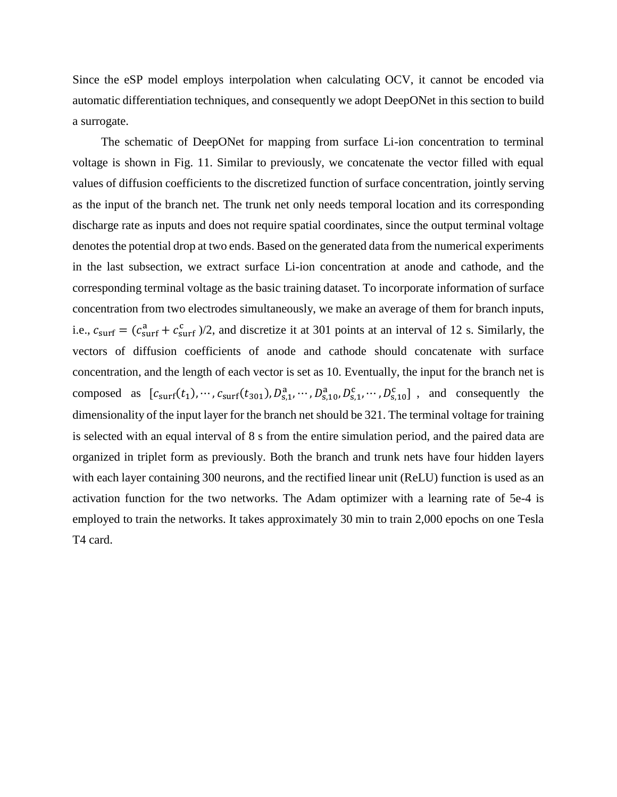Since the eSP model employs interpolation when calculating OCV, it cannot be encoded via automatic differentiation techniques, and consequently we adopt DeepONet in this section to build a surrogate.

The schematic of DeepONet for mapping from surface Li-ion concentration to terminal voltage is shown in Fig. 11. Similar to previously, we concatenate the vector filled with equal values of diffusion coefficients to the discretized function of surface concentration, jointly serving as the input of the branch net. The trunk net only needs temporal location and its corresponding discharge rate as inputs and does not require spatial coordinates, since the output terminal voltage denotes the potential drop at two ends. Based on the generated data from the numerical experiments in the last subsection, we extract surface Li-ion concentration at anode and cathode, and the corresponding terminal voltage as the basic training dataset. To incorporate information of surface concentration from two electrodes simultaneously, we make an average of them for branch inputs, i.e.,  $c_{\text{surf}} = (c_{\text{surf}}^a + c_{\text{surf}}^c)/2$ , and discretize it at 301 points at an interval of 12 s. Similarly, the vectors of diffusion coefficients of anode and cathode should concatenate with surface concentration, and the length of each vector is set as 10. Eventually, the input for the branch net is composed as  $[c_{\text{surf}}(t_1), \cdots, c_{\text{surf}}(t_{301}), D_{s,1}^a, \cdots, D_{s,10}^a, D_{s,1}^c, \cdots, D_{s,10}^c]$ , and consequently the dimensionality of the input layer for the branch net should be 321. The terminal voltage for training is selected with an equal interval of 8 s from the entire simulation period, and the paired data are organized in triplet form as previously. Both the branch and trunk nets have four hidden layers with each layer containing 300 neurons, and the rectified linear unit (ReLU) function is used as an activation function for the two networks. The Adam optimizer with a learning rate of 5e-4 is employed to train the networks. It takes approximately 30 min to train 2,000 epochs on one Tesla T4 card.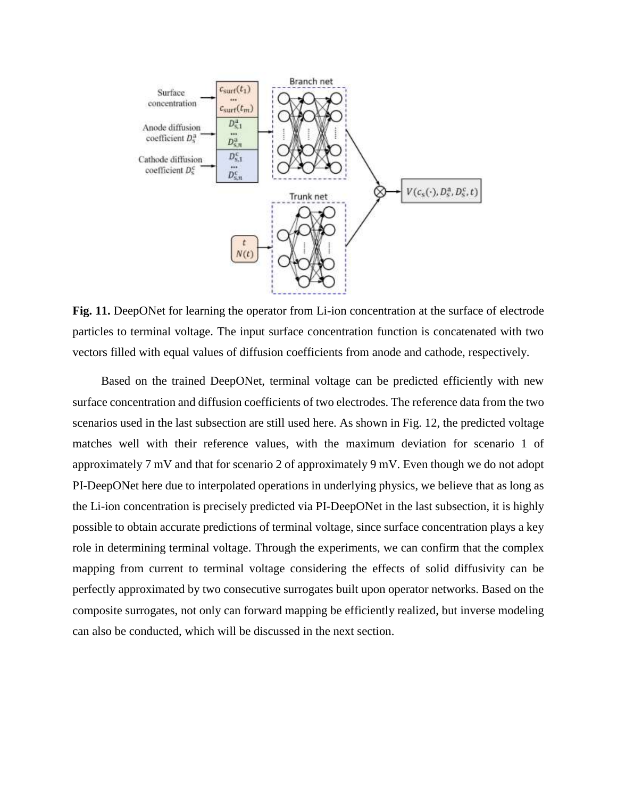

Fig. 11. DeepONet for learning the operator from Li-ion concentration at the surface of electrode particles to terminal voltage. The input surface concentration function is concatenated with two vectors filled with equal values of diffusion coefficients from anode and cathode, respectively.

Based on the trained DeepONet, terminal voltage can be predicted efficiently with new surface concentration and diffusion coefficients of two electrodes. The reference data from the two scenarios used in the last subsection are still used here. As shown in Fig. 12, the predicted voltage matches well with their reference values, with the maximum deviation for scenario 1 of approximately 7 mV and that for scenario 2 of approximately 9 mV. Even though we do not adopt PI-DeepONet here due to interpolated operations in underlying physics, we believe that as long as the Li-ion concentration is precisely predicted via PI-DeepONet in the last subsection, it is highly possible to obtain accurate predictions of terminal voltage, since surface concentration plays a key role in determining terminal voltage. Through the experiments, we can confirm that the complex mapping from current to terminal voltage considering the effects of solid diffusivity can be perfectly approximated by two consecutive surrogates built upon operator networks. Based on the composite surrogates, not only can forward mapping be efficiently realized, but inverse modeling can also be conducted, which will be discussed in the next section.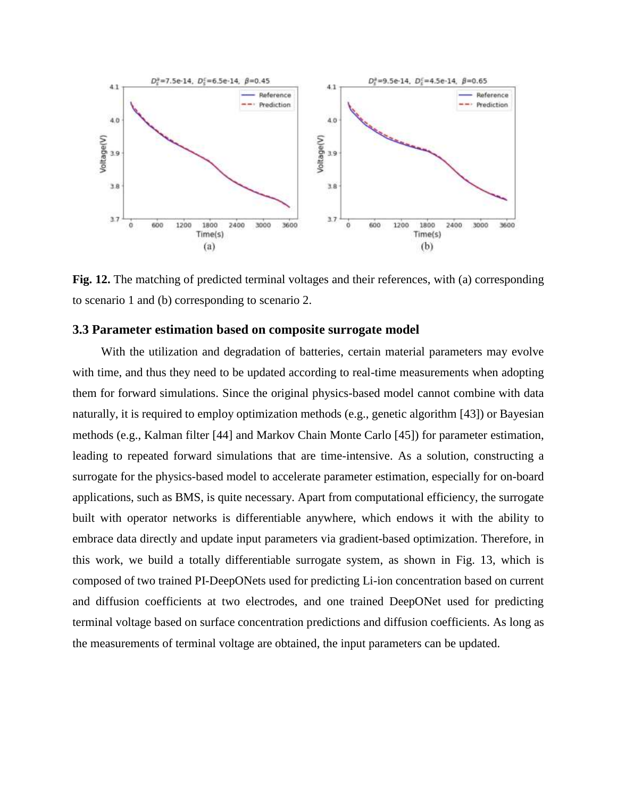

**Fig. 12.** The matching of predicted terminal voltages and their references, with (a) corresponding to scenario 1 and (b) corresponding to scenario 2.

#### **3.3 Parameter estimation based on composite surrogate model**

With the utilization and degradation of batteries, certain material parameters may evolve with time, and thus they need to be updated according to real-time measurements when adopting them for forward simulations. Since the original physics-based model cannot combine with data naturally, it is required to employ optimization methods (e.g., genetic algorithm [43]) or Bayesian methods (e.g., Kalman filter [44] and Markov Chain Monte Carlo [45]) for parameter estimation, leading to repeated forward simulations that are time-intensive. As a solution, constructing a surrogate for the physics-based model to accelerate parameter estimation, especially for on-board applications, such as BMS, is quite necessary. Apart from computational efficiency, the surrogate built with operator networks is differentiable anywhere, which endows it with the ability to embrace data directly and update input parameters via gradient-based optimization. Therefore, in this work, we build a totally differentiable surrogate system, as shown in Fig. 13, which is composed of two trained PI-DeepONets used for predicting Li-ion concentration based on current and diffusion coefficients at two electrodes, and one trained DeepONet used for predicting terminal voltage based on surface concentration predictions and diffusion coefficients. As long as the measurements of terminal voltage are obtained, the input parameters can be updated.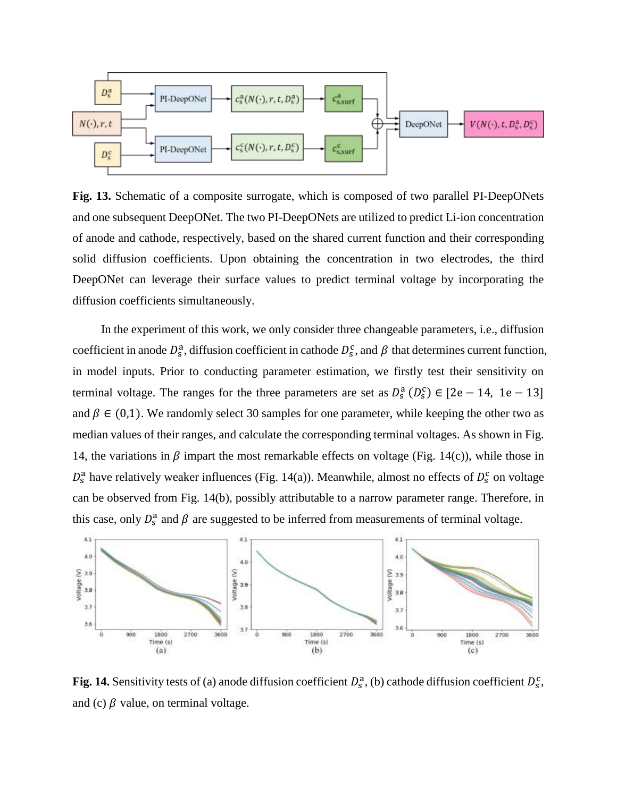

**Fig. 13.** Schematic of a composite surrogate, which is composed of two parallel PI-DeepONets and one subsequent DeepONet. The two PI-DeepONets are utilized to predict Li-ion concentration of anode and cathode, respectively, based on the shared current function and their corresponding solid diffusion coefficients. Upon obtaining the concentration in two electrodes, the third DeepONet can leverage their surface values to predict terminal voltage by incorporating the diffusion coefficients simultaneously.

In the experiment of this work, we only consider three changeable parameters, i.e., diffusion coefficient in anode  $D_s^a$ , diffusion coefficient in cathode  $D_s^c$ , and  $\beta$  that determines current function, in model inputs. Prior to conducting parameter estimation, we firstly test their sensitivity on terminal voltage. The ranges for the three parameters are set as  $D_s^a (D_s^c) \in [2e-14, 1e-13]$ and  $\beta \in (0,1)$ . We randomly select 30 samples for one parameter, while keeping the other two as median values of their ranges, and calculate the corresponding terminal voltages. As shown in Fig. 14, the variations in  $\beta$  impart the most remarkable effects on voltage (Fig. 14(c)), while those in  $D_s^a$  have relatively weaker influences (Fig. 14(a)). Meanwhile, almost no effects of  $D_s^c$  on voltage can be observed from Fig. 14(b), possibly attributable to a narrow parameter range. Therefore, in this case, only  $D_s^a$  and  $\beta$  are suggested to be inferred from measurements of terminal voltage.



**Fig. 14.** Sensitivity tests of (a) anode diffusion coefficient  $D_s^a$ , (b) cathode diffusion coefficient  $D_s^c$ , and (c)  $\beta$  value, on terminal voltage.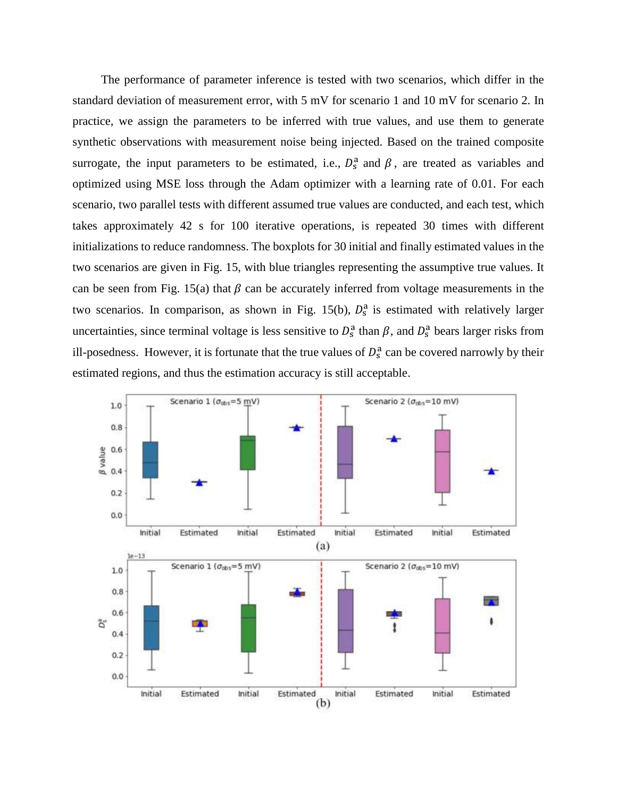The performance of parameter inference is tested with two scenarios, which differ in the standard deviation of measurement error, with 5 mV for scenario 1 and 10 mV for scenario 2. In practice, we assign the parameters to be inferred with true values, and use them to generate synthetic observations with measurement noise being injected. Based on the trained composite surrogate, the input parameters to be estimated, i.e.,  $D_s^a$  and  $\beta$ , are treated as variables and optimized using MSE loss through the Adam optimizer with a learning rate of 0.01. For each scenario, two parallel tests with different assumed true values are conducted, and each test, which takes approximately 42 s for 100 iterative operations, is repeated 30 times with different initializations to reduce randomness. The boxplots for 30 initial and finally estimated values in the two scenarios are given in Fig. 15, with blue triangles representing the assumptive true values. It can be seen from Fig. 15(a) that  $\beta$  can be accurately inferred from voltage measurements in the two scenarios. In comparison, as shown in Fig. 15(b),  $D_s^a$  is estimated with relatively larger uncertainties, since terminal voltage is less sensitive to  $D_s^a$  than  $\beta$ , and  $D_s^a$  bears larger risks from ill-posedness. However, it is fortunate that the true values of  $D_s^a$  can be covered narrowly by their estimated regions, and thus the estimation accuracy is still acceptable.

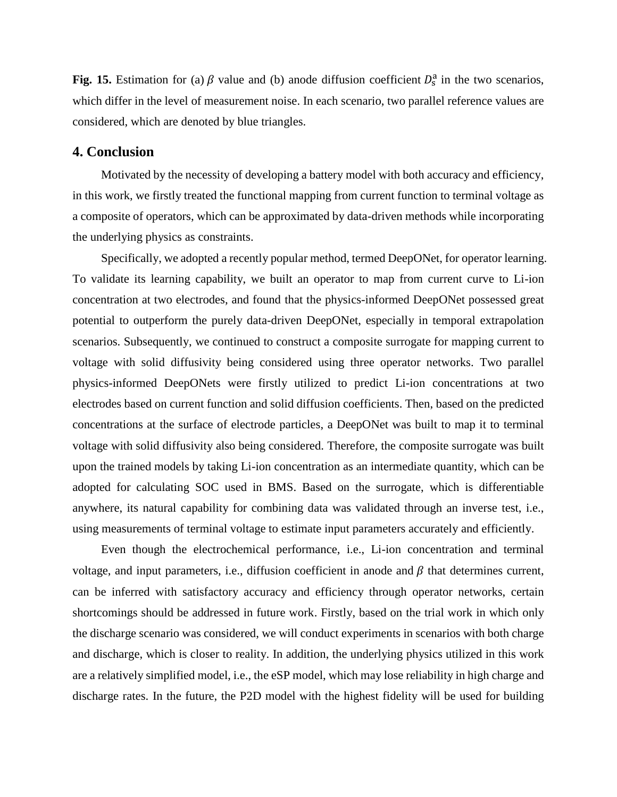Fig. 15. Estimation for (a)  $\beta$  value and (b) anode diffusion coefficient  $D_s^a$  in the two scenarios, which differ in the level of measurement noise. In each scenario, two parallel reference values are considered, which are denoted by blue triangles.

#### **4. Conclusion**

Motivated by the necessity of developing a battery model with both accuracy and efficiency, in this work, we firstly treated the functional mapping from current function to terminal voltage as a composite of operators, which can be approximated by data-driven methods while incorporating the underlying physics as constraints.

Specifically, we adopted a recently popular method, termed DeepONet, for operator learning. To validate its learning capability, we built an operator to map from current curve to Li-ion concentration at two electrodes, and found that the physics-informed DeepONet possessed great potential to outperform the purely data-driven DeepONet, especially in temporal extrapolation scenarios. Subsequently, we continued to construct a composite surrogate for mapping current to voltage with solid diffusivity being considered using three operator networks. Two parallel physics-informed DeepONets were firstly utilized to predict Li-ion concentrations at two electrodes based on current function and solid diffusion coefficients. Then, based on the predicted concentrations at the surface of electrode particles, a DeepONet was built to map it to terminal voltage with solid diffusivity also being considered. Therefore, the composite surrogate was built upon the trained models by taking Li-ion concentration as an intermediate quantity, which can be adopted for calculating SOC used in BMS. Based on the surrogate, which is differentiable anywhere, its natural capability for combining data was validated through an inverse test, i.e., using measurements of terminal voltage to estimate input parameters accurately and efficiently.

Even though the electrochemical performance, i.e., Li-ion concentration and terminal voltage, and input parameters, i.e., diffusion coefficient in anode and  $\beta$  that determines current, can be inferred with satisfactory accuracy and efficiency through operator networks, certain shortcomings should be addressed in future work. Firstly, based on the trial work in which only the discharge scenario was considered, we will conduct experiments in scenarios with both charge and discharge, which is closer to reality. In addition, the underlying physics utilized in this work are a relatively simplified model, i.e., the eSP model, which may lose reliability in high charge and discharge rates. In the future, the P2D model with the highest fidelity will be used for building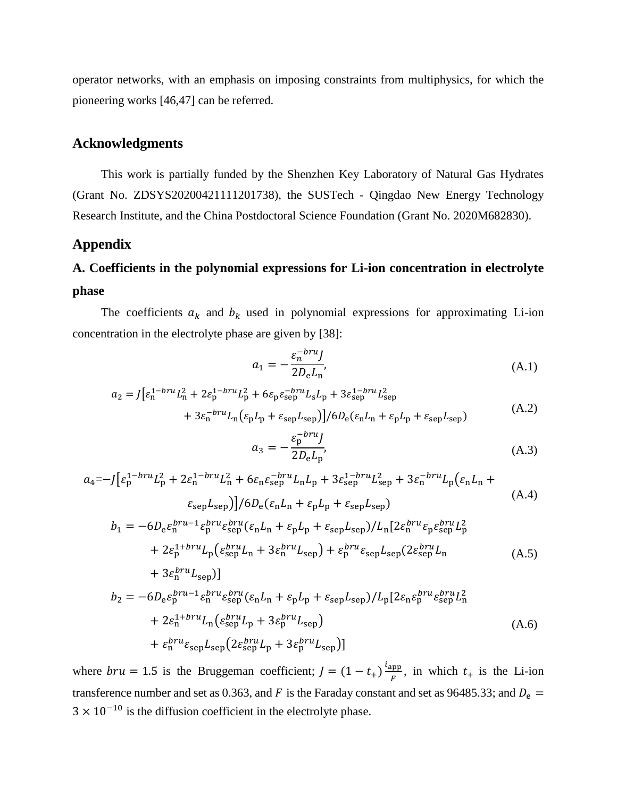operator networks, with an emphasis on imposing constraints from multiphysics, for which the pioneering works [46,47] can be referred.

## **Acknowledgments**

This work is partially funded by the Shenzhen Key Laboratory of Natural Gas Hydrates (Grant No. ZDSYS20200421111201738), the SUSTech - Qingdao New Energy Technology Research Institute, and the China Postdoctoral Science Foundation (Grant No. 2020M682830).

## **Appendix**

# **A. Coefficients in the polynomial expressions for Li-ion concentration in electrolyte phase**

The coefficients  $a_k$  and  $b_k$  used in polynomial expressions for approximating Li-ion concentration in the electrolyte phase are given by [38]:

$$
a_1 = -\frac{\varepsilon_n^{-bru} J}{2D_e L_n},\tag{A.1}
$$

$$
a_2 = J[\varepsilon_n^{1-bru}L_n^2 + 2\varepsilon_p^{1-bru}L_p^2 + 6\varepsilon_p \varepsilon_{\text{sep}}^{-bru}L_sL_p + 3\varepsilon_{\text{sep}}^{1-bru}L_{\text{sep}}^2 + 3\varepsilon_n^{-bru}L_n(\varepsilon_p L_p + \varepsilon_{\text{sep}}L_{\text{sep}})]/6D_e(\varepsilon_n L_n + \varepsilon_p L_p + \varepsilon_{\text{sep}}L_{\text{sep}})
$$
(A.2)

$$
a_3 = -\frac{\varepsilon_{\rm p}^{-bru} J}{2D_{\rm e} L_{\rm p}},\tag{A.3}
$$

$$
a_4 = -\int \left[\varepsilon_p^{1-bru} L_p^2 + 2\varepsilon_n^{1-bru} L_n^2 + 6\varepsilon_n \varepsilon_{\text{sep}}^{-bru} L_n L_p + 3\varepsilon_{\text{sep}}^{1-bru} L_{\text{sep}}^2 + 3\varepsilon_n^{-bru} L_p \left(\varepsilon_n L_n + \varepsilon_{\text{sep}} L_{\text{sep}}\right)\right] / 6D_e \left(\varepsilon_n L_n + \varepsilon_p L_p + \varepsilon_{\text{sep}} L_{\text{sep}}\right)
$$
\n
$$
b_1 = -6D_e \varepsilon_n^{bru-1} \varepsilon_p^{bru} \varepsilon_{\text{sep}}^{bru} \left(\varepsilon_n L_n + \varepsilon_p L_p + \varepsilon_{\text{sep}} L_{\text{sep}}\right) / L_n \left[2\varepsilon_n^{bru} \varepsilon_p \varepsilon_{\text{sep}}^{bru} L_p^2 + 2\varepsilon_p^{1-bru} L_p \left(\varepsilon_{\text{sep}}^{bru} L_n + 3\varepsilon_n^{bru} L_{\text{sep}}\right) + \varepsilon_p^{bru} \varepsilon_{\text{sep}} L_{\text{sep}} \left(2\varepsilon_{\text{sep}}^{bru} L_n + 3\varepsilon_n^{bru} L_{\text{sep}}\right) \right]
$$
\n
$$
b_2 = -6D_e \varepsilon_p^{bru-1} \varepsilon_n^{bru} \varepsilon_{\text{sep}}^{bru} \left(\varepsilon_n L_n + \varepsilon_p L_p + \varepsilon_{\text{sep}} L_{\text{sep}}\right) / L_p \left[2\varepsilon_n \varepsilon_p^{bru} \varepsilon_{\text{sep}}^{bru} L_n^2 + \varepsilon_{\text{sep}}^2 L_p^2\right]
$$
\n(A.5)

$$
B_2 = -6D_e \varepsilon_p^{UH} \varepsilon_{en}^{BH} \varepsilon_{sep}^{BH} (\varepsilon_n L_n + \varepsilon_p L_p + \varepsilon_{sep} L_{sep}) / L_p [2\varepsilon_n \varepsilon_p^{UH} \varepsilon_{sep}^{BH} L_n + 2\varepsilon_n^{1 + bru} L_n (\varepsilon_{sep}^{bru} L_p + 3\varepsilon_p^{bru} L_{sep})
$$
  
+  $\varepsilon_n^{bru} \varepsilon_{sep} L_{sep} (2\varepsilon_{sep}^{bru} L_p + 3\varepsilon_p^{bru} L_{sep}) ]$  (A.6)

where  $bru = 1.5$  is the Bruggeman coefficient;  $J = (1 - t_+) \frac{i_{app}}{E}$  $\frac{\text{opp}}{F}$ , in which  $t_+$  is the Li-ion transference number and set as 0.363, and F is the Faraday constant and set as 96485.33; and  $D_e$  =  $3 \times 10^{-10}$  is the diffusion coefficient in the electrolyte phase.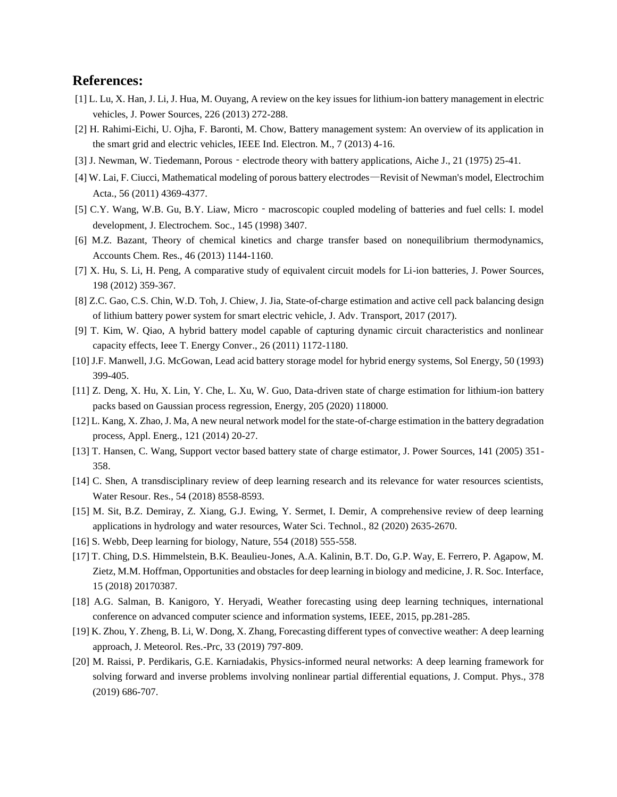## **References:**

- [1] L. Lu, X. Han, J. Li, J. Hua, M. Ouyang, A review on the key issues for lithium-ion battery management in electric vehicles, J. Power Sources, 226 (2013) 272-288.
- [2] H. Rahimi-Eichi, U. Ojha, F. Baronti, M. Chow, Battery management system: An overview of its application in the smart grid and electric vehicles, IEEE Ind. Electron. M., 7 (2013) 4-16.
- [3] J. Newman, W. Tiedemann, Porous electrode theory with battery applications, Aiche J., 21 (1975) 25-41.
- [4] W. Lai, F. Ciucci, Mathematical modeling of porous battery electrodes—Revisit of Newman's model, Electrochim Acta., 56 (2011) 4369-4377.
- [5] C.Y. Wang, W.B. Gu, B.Y. Liaw, Micro macroscopic coupled modeling of batteries and fuel cells: I. model development, J. Electrochem. Soc., 145 (1998) 3407.
- [6] M.Z. Bazant, Theory of chemical kinetics and charge transfer based on nonequilibrium thermodynamics, Accounts Chem. Res., 46 (2013) 1144-1160.
- [7] X. Hu, S. Li, H. Peng, A comparative study of equivalent circuit models for Li-ion batteries, J. Power Sources, 198 (2012) 359-367.
- [8] Z.C. Gao, C.S. Chin, W.D. Toh, J. Chiew, J. Jia, State-of-charge estimation and active cell pack balancing design of lithium battery power system for smart electric vehicle, J. Adv. Transport, 2017 (2017).
- [9] T. Kim, W. Qiao, A hybrid battery model capable of capturing dynamic circuit characteristics and nonlinear capacity effects, Ieee T. Energy Conver., 26 (2011) 1172-1180.
- [10] J.F. Manwell, J.G. McGowan, Lead acid battery storage model for hybrid energy systems, Sol Energy, 50 (1993) 399-405.
- [11] Z. Deng, X. Hu, X. Lin, Y. Che, L. Xu, W. Guo, Data-driven state of charge estimation for lithium-ion battery packs based on Gaussian process regression, Energy, 205 (2020) 118000.
- [12] L. Kang, X. Zhao, J. Ma, A new neural network model for the state-of-charge estimation in the battery degradation process, Appl. Energ., 121 (2014) 20-27.
- [13] T. Hansen, C. Wang, Support vector based battery state of charge estimator, J. Power Sources, 141 (2005) 351- 358.
- [14] C. Shen, A transdisciplinary review of deep learning research and its relevance for water resources scientists, Water Resour. Res., 54 (2018) 8558-8593.
- [15] M. Sit, B.Z. Demiray, Z. Xiang, G.J. Ewing, Y. Sermet, I. Demir, A comprehensive review of deep learning applications in hydrology and water resources, Water Sci. Technol., 82 (2020) 2635-2670.
- [16] S. Webb, Deep learning for biology, Nature, 554 (2018) 555-558.
- [17] T. Ching, D.S. Himmelstein, B.K. Beaulieu-Jones, A.A. Kalinin, B.T. Do, G.P. Way, E. Ferrero, P. Agapow, M. Zietz, M.M. Hoffman, Opportunities and obstacles for deep learning in biology and medicine, J. R. Soc. Interface, 15 (2018) 20170387.
- [18] A.G. Salman, B. Kanigoro, Y. Heryadi, Weather forecasting using deep learning techniques, international conference on advanced computer science and information systems, IEEE, 2015, pp.281-285.
- [19] K. Zhou, Y. Zheng, B. Li, W. Dong, X. Zhang, Forecasting different types of convective weather: A deep learning approach, J. Meteorol. Res.-Prc, 33 (2019) 797-809.
- [20] M. Raissi, P. Perdikaris, G.E. Karniadakis, Physics-informed neural networks: A deep learning framework for solving forward and inverse problems involving nonlinear partial differential equations, J. Comput. Phys., 378 (2019) 686-707.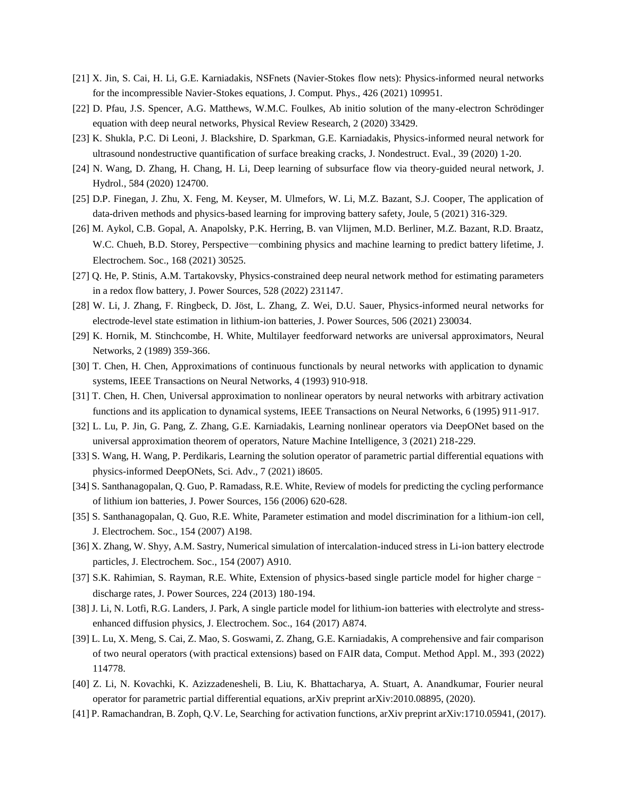- [21] X. Jin, S. Cai, H. Li, G.E. Karniadakis, NSFnets (Navier-Stokes flow nets): Physics-informed neural networks for the incompressible Navier-Stokes equations, J. Comput. Phys., 426 (2021) 109951.
- [22] D. Pfau, J.S. Spencer, A.G. Matthews, W.M.C. Foulkes, Ab initio solution of the many-electron Schrödinger equation with deep neural networks, Physical Review Research, 2 (2020) 33429.
- [23] K. Shukla, P.C. Di Leoni, J. Blackshire, D. Sparkman, G.E. Karniadakis, Physics-informed neural network for ultrasound nondestructive quantification of surface breaking cracks, J. Nondestruct. Eval., 39 (2020) 1-20.
- [24] N. Wang, D. Zhang, H. Chang, H. Li, Deep learning of subsurface flow via theory-guided neural network, J. Hydrol., 584 (2020) 124700.
- [25] D.P. Finegan, J. Zhu, X. Feng, M. Keyser, M. Ulmefors, W. Li, M.Z. Bazant, S.J. Cooper, The application of data-driven methods and physics-based learning for improving battery safety, Joule, 5 (2021) 316-329.
- [26] M. Aykol, C.B. Gopal, A. Anapolsky, P.K. Herring, B. van Vlijmen, M.D. Berliner, M.Z. Bazant, R.D. Braatz, W.C. Chueh, B.D. Storey, Perspective—combining physics and machine learning to predict battery lifetime, J. Electrochem. Soc., 168 (2021) 30525.
- [27] Q. He, P. Stinis, A.M. Tartakovsky, Physics-constrained deep neural network method for estimating parameters in a redox flow battery, J. Power Sources, 528 (2022) 231147.
- [28] W. Li, J. Zhang, F. Ringbeck, D. Jöst, L. Zhang, Z. Wei, D.U. Sauer, Physics-informed neural networks for electrode-level state estimation in lithium-ion batteries, J. Power Sources, 506 (2021) 230034.
- [29] K. Hornik, M. Stinchcombe, H. White, Multilayer feedforward networks are universal approximators, Neural Networks, 2 (1989) 359-366.
- [30] T. Chen, H. Chen, Approximations of continuous functionals by neural networks with application to dynamic systems, IEEE Transactions on Neural Networks, 4 (1993) 910-918.
- [31] T. Chen, H. Chen, Universal approximation to nonlinear operators by neural networks with arbitrary activation functions and its application to dynamical systems, IEEE Transactions on Neural Networks, 6 (1995) 911-917.
- [32] L. Lu, P. Jin, G. Pang, Z. Zhang, G.E. Karniadakis, Learning nonlinear operators via DeepONet based on the universal approximation theorem of operators, Nature Machine Intelligence, 3 (2021) 218-229.
- [33] S. Wang, H. Wang, P. Perdikaris, Learning the solution operator of parametric partial differential equations with physics-informed DeepONets, Sci. Adv., 7 (2021) i8605.
- [34] S. Santhanagopalan, Q. Guo, P. Ramadass, R.E. White, Review of models for predicting the cycling performance of lithium ion batteries, J. Power Sources, 156 (2006) 620-628.
- [35] S. Santhanagopalan, Q. Guo, R.E. White, Parameter estimation and model discrimination for a lithium-ion cell, J. Electrochem. Soc., 154 (2007) A198.
- [36] X. Zhang, W. Shyy, A.M. Sastry, Numerical simulation of intercalation-induced stress in Li-ion battery electrode particles, J. Electrochem. Soc., 154 (2007) A910.
- [37] S.K. Rahimian, S. Rayman, R.E. White, Extension of physics-based single particle model for higher charge– discharge rates, J. Power Sources, 224 (2013) 180-194.
- [38] J. Li, N. Lotfi, R.G. Landers, J. Park, A single particle model for lithium-ion batteries with electrolyte and stressenhanced diffusion physics, J. Electrochem. Soc., 164 (2017) A874.
- [39] L. Lu, X. Meng, S. Cai, Z. Mao, S. Goswami, Z. Zhang, G.E. Karniadakis, A comprehensive and fair comparison of two neural operators (with practical extensions) based on FAIR data, Comput. Method Appl. M., 393 (2022) 114778.
- [40] Z. Li, N. Kovachki, K. Azizzadenesheli, B. Liu, K. Bhattacharya, A. Stuart, A. Anandkumar, Fourier neural operator for parametric partial differential equations, arXiv preprint arXiv:2010.08895, (2020).
- [41] P. Ramachandran, B. Zoph, Q.V. Le, Searching for activation functions, arXiv preprint arXiv:1710.05941, (2017).